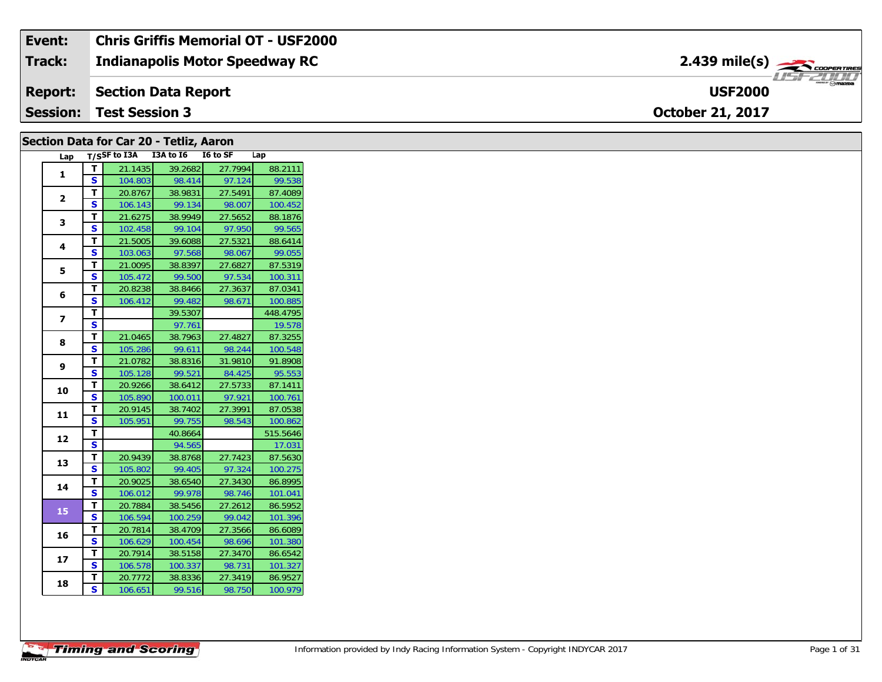| Event:          | <b>Chris Griffis Memorial OT - USF2000</b> |                                                       |
|-----------------|--------------------------------------------|-------------------------------------------------------|
| Track:          | <b>Indianapolis Motor Speedway RC</b>      | $2.439$ mile(s) $\overbrace{\hspace{2cm}}$ coorganges |
| <b>Report:</b>  | Section Data Report                        | <b>USF2000</b>                                        |
| <b>Session:</b> | Test Session 3                             | <b>October 21, 2017</b>                               |

### **Section Data for Car 20 - Tetliz, Aaron**

| Lap                      |    | $T/SSF$ to I3A I3A to I6 |         | I6 to SF | Lap      |
|--------------------------|----|--------------------------|---------|----------|----------|
| $\mathbf{1}$             | т  | 21.1435                  | 39.2682 | 27.7994  | 88.2111  |
|                          | S  | 104.803                  | 98.414  | 97.124   | 99.538   |
| $\overline{2}$           | T. | 20.8767                  | 38.9831 | 27.5491  | 87.4089  |
|                          | S  | 106.143                  | 99.134  | 98.007   | 100.452  |
| 3                        | T. | 21.6275                  | 38.9949 | 27.5652  | 88.1876  |
|                          | S  | 102.458                  | 99.104  | 97.950   | 99.565   |
| 4                        | T. | 21.5005                  | 39.6088 | 27.5321  | 88.6414  |
|                          | S  | 103.063                  | 97.568  | 98.067   | 99.055   |
| 5                        | T. | 21.0095                  | 38.8397 | 27.6827  | 87.5319  |
|                          | S  | 105.472                  | 99.500  | 97.534   | 100.311  |
| 6                        | T. | 20.8238                  | 38.8466 | 27.3637  | 87.0341  |
|                          | S  | 106.412                  | 99.482  | 98.671   | 100.885  |
| $\overline{\phantom{a}}$ | т  |                          | 39.5307 |          | 448.4795 |
|                          | S  |                          | 97.761  |          | 19.578   |
| 8                        | T. | 21.0465                  | 38.7963 | 27.4827  | 87.3255  |
|                          | S  | 105.286                  | 99.611  | 98.244   | 100.548  |
| 9                        | т  | 21.0782                  | 38.8316 | 31.9810  | 91.8908  |
|                          | S  | 105.128                  | 99.521  | 84.425   | 95.553   |
| 10                       | T. | 20.9266                  | 38.6412 | 27.5733  | 87.1411  |
|                          | S  | 105.890                  | 100.011 | 97.921   | 100.761  |
| 11                       | T. | 20.9145                  | 38.7402 | 27.3991  | 87.0538  |
|                          | S  | 105.951                  | 99.755  | 98.543   | 100.862  |
| 12                       | T. |                          | 40.8664 |          | 515.5646 |
|                          | S  |                          | 94.565  |          | 17.031   |
| 13                       | T. | 20.9439                  | 38.8768 | 27.7423  | 87.5630  |
|                          | S  | 105.802                  | 99.405  | 97.324   | 100.275  |
| 14                       | т  | 20.9025                  | 38.6540 | 27.3430  | 86.8995  |
|                          | S  | 106.012                  | 99.978  | 98.746   | 101.041  |
| 15                       | T. | 20.7884                  | 38.5456 | 27.2612  | 86.5952  |
|                          | S  | 106.594                  | 100.259 | 99.042   | 101.396  |
| 16                       | T  | 20.7814                  | 38.4709 | 27.3566  | 86.6089  |
|                          | S  | 106.629                  | 100.454 | 98.696   | 101.380  |
| 17                       | T  | 20.7914                  | 38.5158 | 27.3470  | 86.6542  |
|                          | S  | 106.578                  | 100.337 | 98.731   | 101.327  |
| 18                       | т  | 20.7772                  | 38.8336 | 27.3419  | 86.9527  |
|                          | S. | 106.651                  | 99.516  | 98.750   | 100.979  |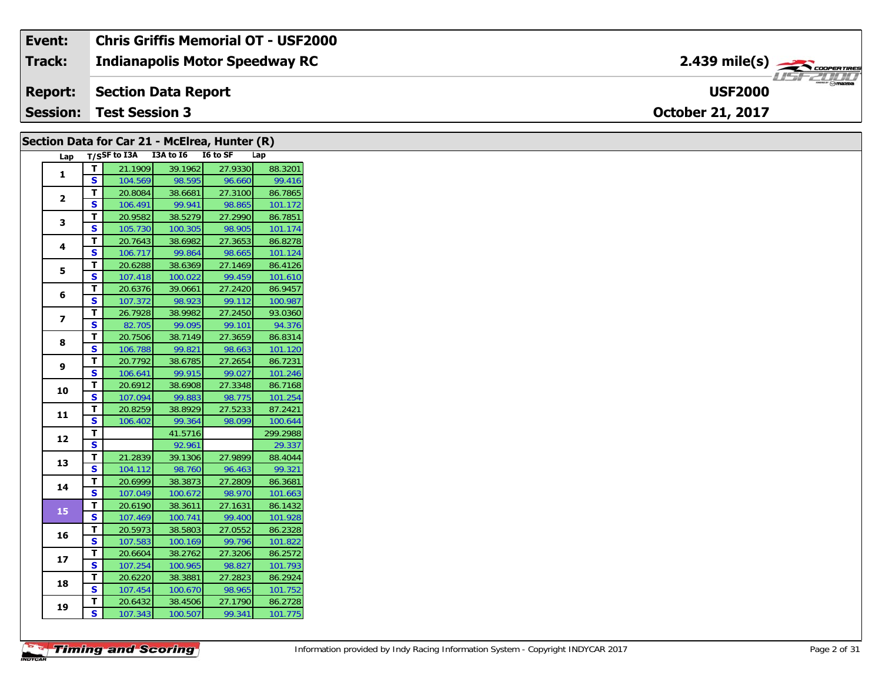#### **Event: Chris Griffis Memorial OT - USF2000** 2.439 mile(s) **2.439 miles Indianapolis Motor Speedway RC Track:** USF 2000 **USF2000Report: Section Data Report Session:October 21, 2017 Test Session 3**

| Section Data for Car 21 - McElrea, Hunter (R) |                         |                                     |         |         |          |
|-----------------------------------------------|-------------------------|-------------------------------------|---------|---------|----------|
|                                               |                         | Lap T/SSF to I3A I3A to I6 I6 to SF |         |         | Lap      |
|                                               | $\mathbf T$             | 21.1909                             | 39.1962 | 27.9330 | 88.3201  |
| 1                                             | S.                      | 104.569                             | 98.595  | 96.660  | 99.416   |
|                                               | T.                      | 20.8084                             | 38.6681 | 27.3100 | 86.7865  |
| $\mathbf{2}$                                  | S.                      | 106.491                             | 99.941  | 98.865  | 101.172  |
|                                               | T.                      | 20.9582                             | 38.5279 | 27.2990 | 86.7851  |
| 3                                             | S.                      | 105.730                             | 100.305 | 98.905  | 101.174  |
|                                               | T.                      | 20.7643                             | 38.6982 | 27.3653 | 86.8278  |
| 4                                             | S.                      | 106.717                             | 99.864  | 98.665  | 101.124  |
|                                               | T.                      | 20.6288                             | 38.6369 | 27.1469 | 86.4126  |
| 5                                             | S                       | 107.418                             | 100.022 | 99.459  | 101.610  |
| 6                                             | T.                      | 20.6376                             | 39.0661 | 27.2420 | 86.9457  |
|                                               | S                       | 107.372                             | 98.923  | 99.112  | 100.987  |
| $\overline{\mathbf{z}}$                       | T.                      | 26.7928                             | 38.9982 | 27.2450 | 93.0360  |
|                                               | S                       | 82.705                              | 99.095  | 99.101  | 94.376   |
| 8                                             | T.                      | 20.7506                             | 38.7149 | 27.3659 | 86.8314  |
|                                               | S.                      | 106.788                             | 99.821  | 98.663  | 101.120  |
| 9                                             | T.                      | 20.7792                             | 38.6785 | 27.2654 | 86.7231  |
|                                               | S.                      | 106.641                             | 99.915  | 99.027  | 101.246  |
| 10                                            | Т.                      | 20.6912                             | 38.6908 | 27.3348 | 86.7168  |
|                                               | S.                      | 107.094                             | 99.883  | 98.775  | 101.254  |
| 11                                            | T.                      | 20.8259                             | 38.8929 | 27.5233 | 87.2421  |
|                                               | S                       | 106.402                             | 99.364  | 98.099  | 100.644  |
| 12                                            | T                       |                                     | 41.5716 |         | 299.2988 |
|                                               | $\overline{\mathbf{s}}$ |                                     | 92.961  |         | 29.337   |
| 13                                            | T.                      | 21.2839                             | 39.1306 | 27.9899 | 88.4044  |
|                                               | <b>S</b>                | 104.112                             | 98.760  | 96.463  | 99.321   |
| 14                                            | T.                      | 20.6999                             | 38.3873 | 27.2809 | 86.3681  |
|                                               | S                       | 107.049                             | 100.672 | 98.970  | 101.663  |
| 15                                            | T.                      | 20.6190                             | 38.3611 | 27.1631 | 86.1432  |
|                                               | S.                      | 107.469                             | 100.741 | 99.400  | 101.928  |
| 16                                            | T.                      | 20.5973                             | 38.5803 | 27.0552 | 86.2328  |
|                                               | S.                      | 107.583                             | 100.169 | 99.796  | 101.822  |
| 17                                            | Т.                      | 20.6604                             | 38.2762 | 27.3206 | 86.2572  |
|                                               | S.                      | 107.254                             | 100.965 | 98.827  | 101.793  |
| 18                                            | T.                      | 20.6220                             | 38.3881 | 27.2823 | 86.2924  |
|                                               | S.                      | 107.454                             | 100.670 | 98.965  | 101.752  |
| 19                                            | T.                      | 20.6432                             | 38.4506 | 27.1790 | 86.2728  |
|                                               | S                       | 107.343                             | 100.507 | 99.341  | 101.775  |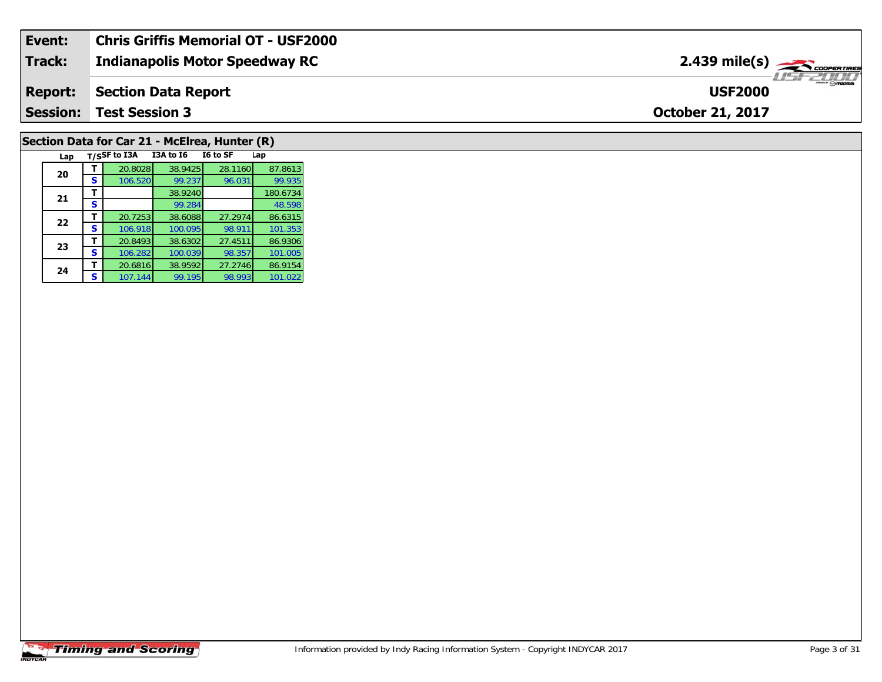| Event:          | Chris Griffis Memorial OT - USF2000 |                                                |
|-----------------|-------------------------------------|------------------------------------------------|
| <b>Track:</b>   | Indianapolis Motor Speedway RC      | $2.439$ mile(s) $\frac{1}{2.566}$ coorer Tires |
| <b>Report:</b>  | Section Data Report                 | $\frac{1}{\odot}$ mazoa<br><b>USF2000</b>      |
| <b>Session:</b> | <b>Test Session 3</b>               | <b>October 21, 2017</b>                        |

# **Section Data for Car 21 - McElrea, Hunter (R)**

|  | Lap |   | T/SSF to I3A | I3A to I6 | I6 to SF | Lap      |
|--|-----|---|--------------|-----------|----------|----------|
|  | 20  |   | 20.8028      | 38.9425   | 28.1160  | 87.8613  |
|  |     | S | 106.520      | 99.237    | 96.031   | 99.935   |
|  | 21  |   |              | 38.9240   |          | 180.6734 |
|  |     | S |              | 99.284    |          | 48.598   |
|  | 22  |   | 20.7253      | 38.6088   | 27.2974  | 86.6315  |
|  |     | s | 106.918      | 100.095   | 98.911   | 101.353  |
|  | 23  |   | 20.8493      | 38.6302   | 27.4511  | 86.9306  |
|  |     | S | 106.282      | 100.039   | 98.357   | 101.005  |
|  | 24  |   | 20.6816      | 38.9592   | 27.2746  | 86.9154  |
|  |     | s | 107.144      | 99.195    | 98.993   | 101.022  |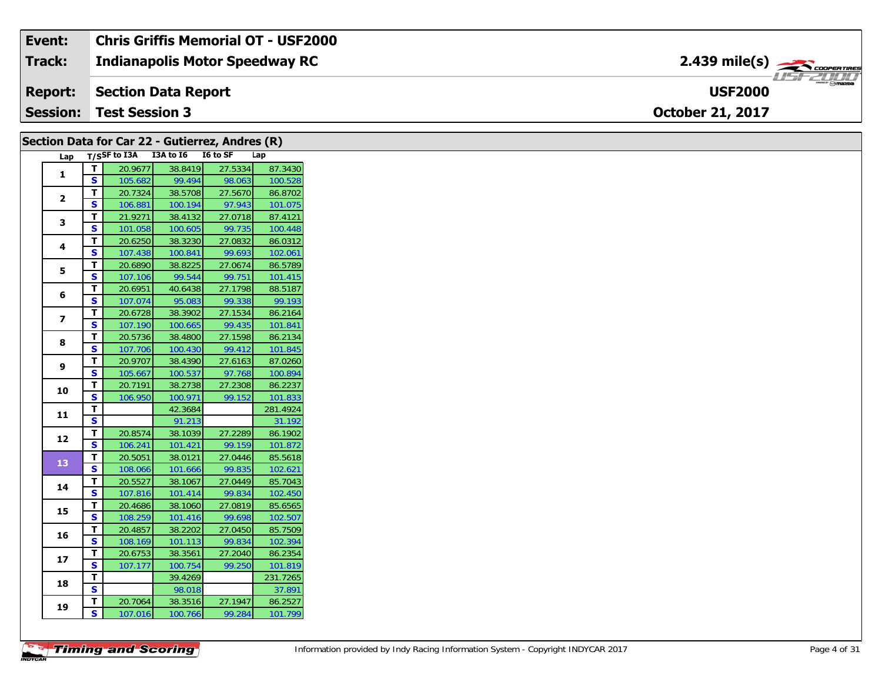| Event:          | <b>Chris Griffis Memorial OT - USF2000</b> |                                                              |                 |
|-----------------|--------------------------------------------|--------------------------------------------------------------|-----------------|
| Track:          | Indianapolis Motor Speedway RC             | $2.439$ mile(s) $\overbrace{\hspace{2.5cm}}^{3}$ coder these |                 |
|                 | <b>Report:</b> Section Data Report         | <b>USF2000</b>                                               | <b>USF 2000</b> |
| <b>Session:</b> | <b>Test Session 3</b>                      | <b>October 21, 2017</b>                                      |                 |

| Lap T/SSF to I3A I3A to I6 I6 to SF<br>Lap<br>T<br>20.9677<br>38.8419<br>27.5334<br>1<br>S<br>99.494<br>98.063<br>105.682<br>27.5670<br>T<br>38.5708<br>20.7324<br>$\overline{2}$<br>S<br>100.194<br>97.943<br>106.881<br>T<br>27.0718<br>21.9271<br>38.4132<br>3<br><b>S</b><br>99.735<br>101.058<br>100.605<br>$\mathbf T$<br>20.6250<br>27.0832<br>38.3230<br>4<br>$\mathbf{s}$<br>99.693<br>107.438<br>100.841<br>T<br>38.8225<br>27.0674<br>20.6890<br>5<br>S<br>99.544<br>99.751<br>107.106<br>T<br>27.1798<br>20.6951<br>40.6438<br>6<br>$\mathbf{s}$<br>99.338<br>107.074<br>95.083<br>$\mathbf T$<br>20.6728<br>38.3902<br>27.1534<br>$\overline{ }$<br>S<br>107.190<br>100.665<br>99.435<br>$\mathbf T$<br>27.1598<br>20.5736<br>38.4800<br>8<br>S<br>99.412<br>107.706<br>100.430<br>T<br>27.6163<br>20.9707<br>38.4390<br>9<br>$\mathbf{s}$<br>97.768<br>105.667<br>100.537<br>$\mathbf T$<br>27.2308<br>20.7191<br>38.2738<br>10<br>$\overline{\mathbf{s}}$<br>99.152<br>106.950<br>100.971<br>T<br>42.3684<br>11<br>$\overline{\mathbf{s}}$<br>91.213<br>T<br>20.8574<br>38.1039<br>27.2289<br>12<br>$\mathbf{s}$<br>99.159<br>106.241<br>101.421<br>$\mathbf{T}$<br>20.5051<br>38.0121<br>27.0446<br>13<br>$\mathbf{s}$<br>99.835<br>108.066<br>101.666<br>T.<br>20.5527<br>38.1067<br>27.0449<br>14<br>S<br>99.834<br>107.816<br>101.414<br>T<br>27.0819<br>20.4686<br>38.1060<br>15<br>$\mathbf{s}$<br>108.259<br>101.416<br>99.698<br>$\mathbf{T}$<br>20.4857<br>38.2202<br>27.0450<br>16<br>S<br>108.169<br>101.113<br>99.834<br>T<br>20.6753<br>38.3561<br>27.2040<br>17<br>S<br>107.177<br>100.754<br>99.250<br>39.4269<br>T<br>18<br>$\mathbf{s}$<br>98.018<br>T.<br>20.7064<br>27.1947<br>38.3516<br>19<br>100.766 | Section Data for Car 22 - Gutierrez, Andres (R) |   |         |  |        |         |
|-------------------------------------------------------------------------------------------------------------------------------------------------------------------------------------------------------------------------------------------------------------------------------------------------------------------------------------------------------------------------------------------------------------------------------------------------------------------------------------------------------------------------------------------------------------------------------------------------------------------------------------------------------------------------------------------------------------------------------------------------------------------------------------------------------------------------------------------------------------------------------------------------------------------------------------------------------------------------------------------------------------------------------------------------------------------------------------------------------------------------------------------------------------------------------------------------------------------------------------------------------------------------------------------------------------------------------------------------------------------------------------------------------------------------------------------------------------------------------------------------------------------------------------------------------------------------------------------------------------------------------------------------------------------------------------------------------------------------------------------|-------------------------------------------------|---|---------|--|--------|---------|
| 102.061<br>37.891                                                                                                                                                                                                                                                                                                                                                                                                                                                                                                                                                                                                                                                                                                                                                                                                                                                                                                                                                                                                                                                                                                                                                                                                                                                                                                                                                                                                                                                                                                                                                                                                                                                                                                                         |                                                 |   |         |  |        |         |
| 100.528<br>86.8702<br>101.075<br>87.4121<br>100.448<br>86.0312<br>86.5789<br>101.415<br>88.5187<br>99.193<br>86.2164<br>101.841<br>86.2134<br>101.845<br>87.0260<br>100.894<br>86.2237<br>101.833<br>281.4924<br>31.192<br>86.1902<br>101.872<br>85.5618<br>102.621<br>85.7043<br>102.450<br>85.6565<br>102.507<br>85.7509<br>102.394<br>86.2354<br>101.819<br>231.7265<br>86.2527                                                                                                                                                                                                                                                                                                                                                                                                                                                                                                                                                                                                                                                                                                                                                                                                                                                                                                                                                                                                                                                                                                                                                                                                                                                                                                                                                        |                                                 |   |         |  |        | 87.3430 |
|                                                                                                                                                                                                                                                                                                                                                                                                                                                                                                                                                                                                                                                                                                                                                                                                                                                                                                                                                                                                                                                                                                                                                                                                                                                                                                                                                                                                                                                                                                                                                                                                                                                                                                                                           |                                                 |   |         |  |        |         |
|                                                                                                                                                                                                                                                                                                                                                                                                                                                                                                                                                                                                                                                                                                                                                                                                                                                                                                                                                                                                                                                                                                                                                                                                                                                                                                                                                                                                                                                                                                                                                                                                                                                                                                                                           |                                                 |   |         |  |        |         |
|                                                                                                                                                                                                                                                                                                                                                                                                                                                                                                                                                                                                                                                                                                                                                                                                                                                                                                                                                                                                                                                                                                                                                                                                                                                                                                                                                                                                                                                                                                                                                                                                                                                                                                                                           |                                                 |   |         |  |        |         |
|                                                                                                                                                                                                                                                                                                                                                                                                                                                                                                                                                                                                                                                                                                                                                                                                                                                                                                                                                                                                                                                                                                                                                                                                                                                                                                                                                                                                                                                                                                                                                                                                                                                                                                                                           |                                                 |   |         |  |        |         |
|                                                                                                                                                                                                                                                                                                                                                                                                                                                                                                                                                                                                                                                                                                                                                                                                                                                                                                                                                                                                                                                                                                                                                                                                                                                                                                                                                                                                                                                                                                                                                                                                                                                                                                                                           |                                                 |   |         |  |        |         |
|                                                                                                                                                                                                                                                                                                                                                                                                                                                                                                                                                                                                                                                                                                                                                                                                                                                                                                                                                                                                                                                                                                                                                                                                                                                                                                                                                                                                                                                                                                                                                                                                                                                                                                                                           |                                                 |   |         |  |        |         |
|                                                                                                                                                                                                                                                                                                                                                                                                                                                                                                                                                                                                                                                                                                                                                                                                                                                                                                                                                                                                                                                                                                                                                                                                                                                                                                                                                                                                                                                                                                                                                                                                                                                                                                                                           |                                                 |   |         |  |        |         |
|                                                                                                                                                                                                                                                                                                                                                                                                                                                                                                                                                                                                                                                                                                                                                                                                                                                                                                                                                                                                                                                                                                                                                                                                                                                                                                                                                                                                                                                                                                                                                                                                                                                                                                                                           |                                                 |   |         |  |        |         |
|                                                                                                                                                                                                                                                                                                                                                                                                                                                                                                                                                                                                                                                                                                                                                                                                                                                                                                                                                                                                                                                                                                                                                                                                                                                                                                                                                                                                                                                                                                                                                                                                                                                                                                                                           |                                                 |   |         |  |        |         |
|                                                                                                                                                                                                                                                                                                                                                                                                                                                                                                                                                                                                                                                                                                                                                                                                                                                                                                                                                                                                                                                                                                                                                                                                                                                                                                                                                                                                                                                                                                                                                                                                                                                                                                                                           |                                                 |   |         |  |        |         |
|                                                                                                                                                                                                                                                                                                                                                                                                                                                                                                                                                                                                                                                                                                                                                                                                                                                                                                                                                                                                                                                                                                                                                                                                                                                                                                                                                                                                                                                                                                                                                                                                                                                                                                                                           |                                                 |   |         |  |        |         |
|                                                                                                                                                                                                                                                                                                                                                                                                                                                                                                                                                                                                                                                                                                                                                                                                                                                                                                                                                                                                                                                                                                                                                                                                                                                                                                                                                                                                                                                                                                                                                                                                                                                                                                                                           |                                                 |   |         |  |        |         |
|                                                                                                                                                                                                                                                                                                                                                                                                                                                                                                                                                                                                                                                                                                                                                                                                                                                                                                                                                                                                                                                                                                                                                                                                                                                                                                                                                                                                                                                                                                                                                                                                                                                                                                                                           |                                                 |   |         |  |        |         |
|                                                                                                                                                                                                                                                                                                                                                                                                                                                                                                                                                                                                                                                                                                                                                                                                                                                                                                                                                                                                                                                                                                                                                                                                                                                                                                                                                                                                                                                                                                                                                                                                                                                                                                                                           |                                                 |   |         |  |        |         |
|                                                                                                                                                                                                                                                                                                                                                                                                                                                                                                                                                                                                                                                                                                                                                                                                                                                                                                                                                                                                                                                                                                                                                                                                                                                                                                                                                                                                                                                                                                                                                                                                                                                                                                                                           |                                                 |   |         |  |        |         |
|                                                                                                                                                                                                                                                                                                                                                                                                                                                                                                                                                                                                                                                                                                                                                                                                                                                                                                                                                                                                                                                                                                                                                                                                                                                                                                                                                                                                                                                                                                                                                                                                                                                                                                                                           |                                                 |   |         |  |        |         |
|                                                                                                                                                                                                                                                                                                                                                                                                                                                                                                                                                                                                                                                                                                                                                                                                                                                                                                                                                                                                                                                                                                                                                                                                                                                                                                                                                                                                                                                                                                                                                                                                                                                                                                                                           |                                                 |   |         |  |        |         |
|                                                                                                                                                                                                                                                                                                                                                                                                                                                                                                                                                                                                                                                                                                                                                                                                                                                                                                                                                                                                                                                                                                                                                                                                                                                                                                                                                                                                                                                                                                                                                                                                                                                                                                                                           |                                                 |   |         |  |        |         |
|                                                                                                                                                                                                                                                                                                                                                                                                                                                                                                                                                                                                                                                                                                                                                                                                                                                                                                                                                                                                                                                                                                                                                                                                                                                                                                                                                                                                                                                                                                                                                                                                                                                                                                                                           |                                                 |   |         |  |        |         |
|                                                                                                                                                                                                                                                                                                                                                                                                                                                                                                                                                                                                                                                                                                                                                                                                                                                                                                                                                                                                                                                                                                                                                                                                                                                                                                                                                                                                                                                                                                                                                                                                                                                                                                                                           |                                                 |   |         |  |        |         |
|                                                                                                                                                                                                                                                                                                                                                                                                                                                                                                                                                                                                                                                                                                                                                                                                                                                                                                                                                                                                                                                                                                                                                                                                                                                                                                                                                                                                                                                                                                                                                                                                                                                                                                                                           |                                                 |   |         |  |        |         |
|                                                                                                                                                                                                                                                                                                                                                                                                                                                                                                                                                                                                                                                                                                                                                                                                                                                                                                                                                                                                                                                                                                                                                                                                                                                                                                                                                                                                                                                                                                                                                                                                                                                                                                                                           |                                                 |   |         |  |        |         |
|                                                                                                                                                                                                                                                                                                                                                                                                                                                                                                                                                                                                                                                                                                                                                                                                                                                                                                                                                                                                                                                                                                                                                                                                                                                                                                                                                                                                                                                                                                                                                                                                                                                                                                                                           |                                                 |   |         |  |        |         |
|                                                                                                                                                                                                                                                                                                                                                                                                                                                                                                                                                                                                                                                                                                                                                                                                                                                                                                                                                                                                                                                                                                                                                                                                                                                                                                                                                                                                                                                                                                                                                                                                                                                                                                                                           |                                                 |   |         |  |        |         |
|                                                                                                                                                                                                                                                                                                                                                                                                                                                                                                                                                                                                                                                                                                                                                                                                                                                                                                                                                                                                                                                                                                                                                                                                                                                                                                                                                                                                                                                                                                                                                                                                                                                                                                                                           |                                                 |   |         |  |        |         |
|                                                                                                                                                                                                                                                                                                                                                                                                                                                                                                                                                                                                                                                                                                                                                                                                                                                                                                                                                                                                                                                                                                                                                                                                                                                                                                                                                                                                                                                                                                                                                                                                                                                                                                                                           |                                                 |   |         |  |        |         |
|                                                                                                                                                                                                                                                                                                                                                                                                                                                                                                                                                                                                                                                                                                                                                                                                                                                                                                                                                                                                                                                                                                                                                                                                                                                                                                                                                                                                                                                                                                                                                                                                                                                                                                                                           |                                                 |   |         |  |        |         |
|                                                                                                                                                                                                                                                                                                                                                                                                                                                                                                                                                                                                                                                                                                                                                                                                                                                                                                                                                                                                                                                                                                                                                                                                                                                                                                                                                                                                                                                                                                                                                                                                                                                                                                                                           |                                                 |   |         |  |        |         |
|                                                                                                                                                                                                                                                                                                                                                                                                                                                                                                                                                                                                                                                                                                                                                                                                                                                                                                                                                                                                                                                                                                                                                                                                                                                                                                                                                                                                                                                                                                                                                                                                                                                                                                                                           |                                                 |   |         |  |        |         |
|                                                                                                                                                                                                                                                                                                                                                                                                                                                                                                                                                                                                                                                                                                                                                                                                                                                                                                                                                                                                                                                                                                                                                                                                                                                                                                                                                                                                                                                                                                                                                                                                                                                                                                                                           |                                                 |   |         |  |        |         |
|                                                                                                                                                                                                                                                                                                                                                                                                                                                                                                                                                                                                                                                                                                                                                                                                                                                                                                                                                                                                                                                                                                                                                                                                                                                                                                                                                                                                                                                                                                                                                                                                                                                                                                                                           |                                                 |   |         |  |        |         |
|                                                                                                                                                                                                                                                                                                                                                                                                                                                                                                                                                                                                                                                                                                                                                                                                                                                                                                                                                                                                                                                                                                                                                                                                                                                                                                                                                                                                                                                                                                                                                                                                                                                                                                                                           |                                                 |   |         |  |        |         |
|                                                                                                                                                                                                                                                                                                                                                                                                                                                                                                                                                                                                                                                                                                                                                                                                                                                                                                                                                                                                                                                                                                                                                                                                                                                                                                                                                                                                                                                                                                                                                                                                                                                                                                                                           |                                                 |   |         |  |        |         |
|                                                                                                                                                                                                                                                                                                                                                                                                                                                                                                                                                                                                                                                                                                                                                                                                                                                                                                                                                                                                                                                                                                                                                                                                                                                                                                                                                                                                                                                                                                                                                                                                                                                                                                                                           |                                                 |   |         |  |        |         |
|                                                                                                                                                                                                                                                                                                                                                                                                                                                                                                                                                                                                                                                                                                                                                                                                                                                                                                                                                                                                                                                                                                                                                                                                                                                                                                                                                                                                                                                                                                                                                                                                                                                                                                                                           |                                                 |   |         |  |        |         |
|                                                                                                                                                                                                                                                                                                                                                                                                                                                                                                                                                                                                                                                                                                                                                                                                                                                                                                                                                                                                                                                                                                                                                                                                                                                                                                                                                                                                                                                                                                                                                                                                                                                                                                                                           |                                                 | S | 107.016 |  | 99.284 | 101.799 |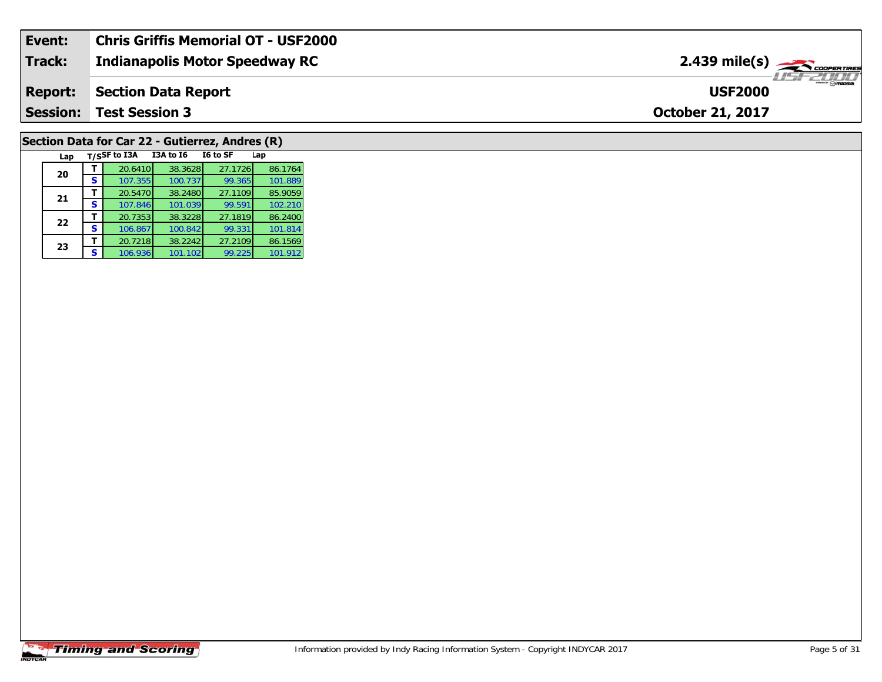| Event:          | <b>Chris Griffis Memorial OT - USF2000</b> |                                            |
|-----------------|--------------------------------------------|--------------------------------------------|
| Track:          | <b>Indianapolis Motor Speedway RC</b>      | $2.439$ mile(s) $\rightarrow$ coorganises  |
| <b>Report:</b>  | Section Data Report                        | $\overline{\phantom{m}}$<br><b>USF2000</b> |
| <b>Session:</b> | <b>Test Session 3</b>                      | <b>October 21, 2017</b>                    |
|                 |                                            |                                            |

# **Section Data for Car 22 - Gutierrez, Andres (R)**

| Lap |   | T/SSF to I3A | I3A to I6 | I6 to SF | Lap     |
|-----|---|--------------|-----------|----------|---------|
| 20  |   | 20.6410      | 38.3628   | 27.1726  | 86.1764 |
|     | S | 107.355      | 100.737   | 99.365   | 101.889 |
| 21  |   | 20.5470      | 38.2480   | 27.1109  | 85.9059 |
|     | s | 107.846      | 101.039   | 99.591   | 102.210 |
| 22  |   | 20.7353      | 38.3228   | 27.1819  | 86.2400 |
|     | s | 106.867      | 100.842   | 99.331   | 101.814 |
| 23  |   | 20.7218      | 38.2242   | 27.2109  | 86.1569 |
|     | S | 106.936      | 101.102   | 99.225   | 101.912 |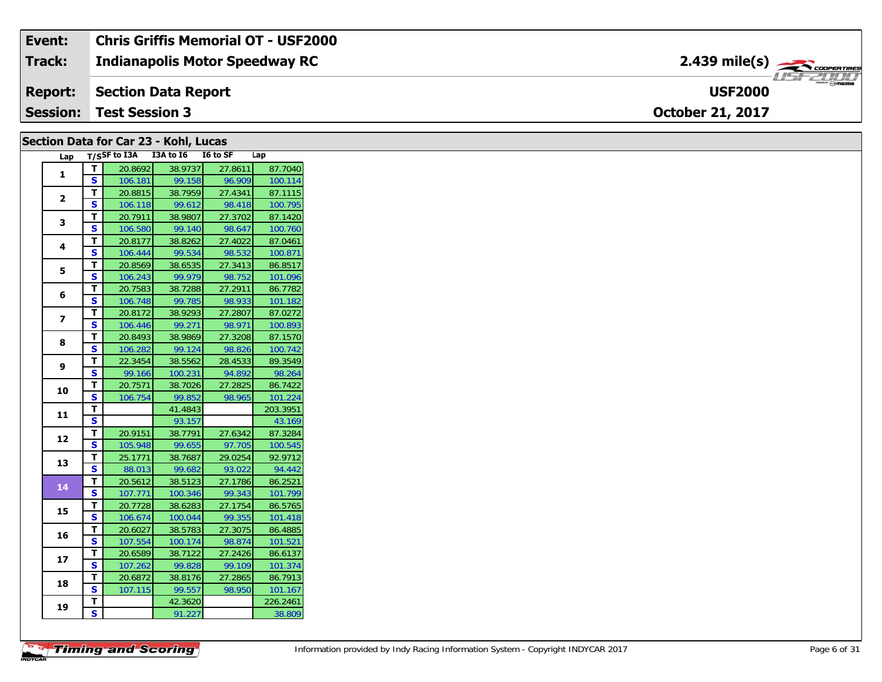| Event:         | <b>Chris Griffis Memorial OT - USF2000</b> |                                            |
|----------------|--------------------------------------------|--------------------------------------------|
| Track:         | <b>Indianapolis Motor Speedway RC</b>      | $2.439$ mile(s) $\rightarrow$ COOPER TIRES |
| <b>Report:</b> | Section Data Report                        | <b>USF2000</b>                             |
|                | <b>Session: Test Session 3</b>             | <b>October 21, 2017</b>                    |

### **Section Data for Car 23 - Kohl, Lucas**

| Lap                      |                         | $T/S$ SF to I3A | I3A to I6 | I6 to SF | Lap      |
|--------------------------|-------------------------|-----------------|-----------|----------|----------|
| 1                        | т                       | 20.8692         | 38.9737   | 27.8611  | 87.7040  |
|                          | S                       | 106.181         | 99.158    | 96.909   | 100.114  |
|                          | T                       | 20.8815         | 38.7959   | 27.4341  | 87.1115  |
| $\overline{2}$           | S                       | 106.118         | 99.612    | 98.418   | 100.795  |
|                          | т                       | 20.7911         | 38.9807   | 27.3702  | 87.1420  |
| 3                        | S                       | 106.580         | 99.140    | 98.647   | 100.760  |
|                          | т                       | 20.8177         | 38.8262   | 27.4022  | 87.0461  |
| 4                        | S                       | 106.444         | 99.534    | 98.532   | 100.871  |
|                          | T                       | 20.8569         | 38.6535   | 27.3413  | 86.8517  |
| 5                        | $\overline{\mathbf{s}}$ | 106.243         | 99.979    | 98.752   | 101.096  |
|                          | т                       | 20.7583         | 38.7288   | 27.2911  | 86.7782  |
| 6                        | S                       | 106.748         | 99.785    | 98.933   | 101.182  |
|                          | T                       | 20.8172         | 38.9293   | 27.2807  | 87.0272  |
| $\overline{\phantom{a}}$ | S                       | 106.446         | 99.271    | 98.971   | 100.893  |
|                          | т                       | 20.8493         | 38.9869   | 27.3208  | 87.1570  |
| 8                        | S                       | 106.282         | 99.124    | 98.826   | 100.742  |
|                          | T                       | 22.3454         | 38.5562   | 28.4533  | 89.3549  |
| 9                        | S                       | 99.166          | 100.231   | 94.892   | 98.264   |
|                          | T.                      | 20.7571         | 38.7026   | 27.2825  | 86.7422  |
| 10                       | S                       | 106.754         | 99.852    | 98.965   | 101.224  |
|                          | T                       |                 | 41.4843   |          | 203.3951 |
| 11                       | S                       |                 | 93.157    |          | 43.169   |
|                          | т                       | 20.9151         | 38.7791   | 27.6342  | 87.3284  |
| 12                       | S                       | 105.948         | 99.655    | 97.705   | 100.545  |
|                          | T                       | 25.1771         | 38.7687   | 29.0254  | 92.9712  |
| 13                       | S                       | 88.013          | 99.682    | 93.022   | 94.442   |
| 14                       | T                       | 20.5612         | 38.5123   | 27.1786  | 86.2521  |
|                          | S                       | 107.771         | 100.346   | 99.343   | 101.799  |
| 15                       | Т                       | 20.7728         | 38.6283   | 27.1754  | 86.5765  |
|                          | $\overline{\mathbf{s}}$ | 106.674         | 100.044   | 99.355   | 101.418  |
| 16                       | T                       | 20.6027         | 38.5783   | 27.3075  | 86.4885  |
|                          | S                       | 107.554         | 100.174   | 98.874   | 101.521  |
| 17                       | т                       | 20.6589         | 38.7122   | 27.2426  | 86.6137  |
|                          | S                       | 107.262         | 99.828    | 99.109   | 101.374  |
| 18                       | т                       | 20.6872         | 38.8176   | 27.2865  | 86.7913  |
|                          | S                       | 107.115         | 99.557    | 98.950   | 101.167  |
| 19                       | т                       |                 | 42.3620   |          | 226.2461 |
|                          | $\overline{\mathbf{s}}$ |                 | 91.227    |          | 38.809   |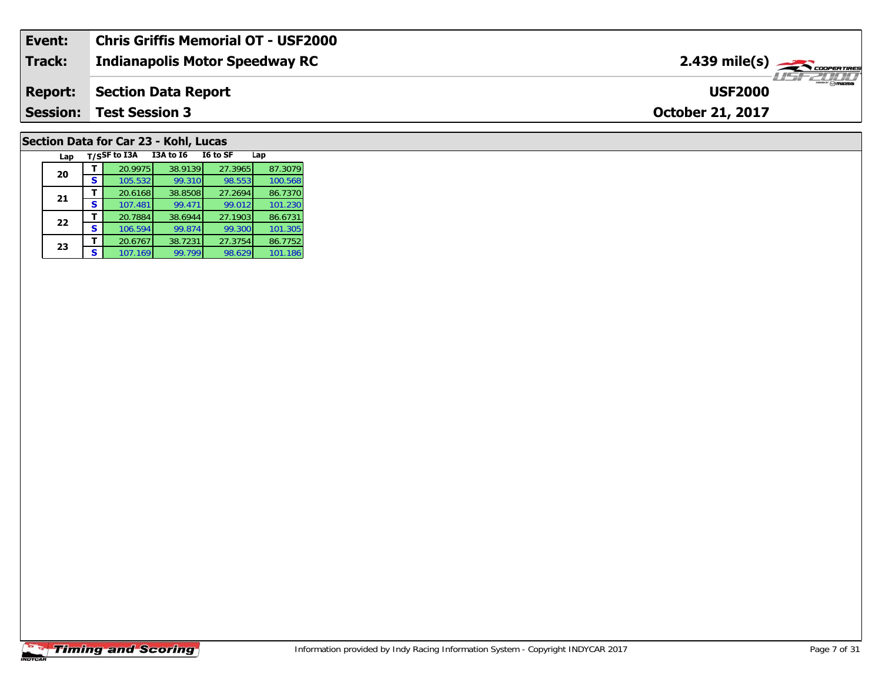| Event:          | <b>Chris Griffis Memorial OT - USF2000</b> |                                                                                                                                                                                                                                                                                                                                                                                                                                                                                                   |
|-----------------|--------------------------------------------|---------------------------------------------------------------------------------------------------------------------------------------------------------------------------------------------------------------------------------------------------------------------------------------------------------------------------------------------------------------------------------------------------------------------------------------------------------------------------------------------------|
| <b>Track:</b>   | <b>Indianapolis Motor Speedway RC</b>      | $2.439$ mile(s) $\frac{1}{2.566}$ coorentines                                                                                                                                                                                                                                                                                                                                                                                                                                                     |
| <b>Report:</b>  | <b>Section Data Report</b>                 | $\overline{\phantom{a}}$ $\overline{\phantom{a}}$ $\overline{\phantom{a}}$ $\overline{\phantom{a}}$ $\overline{\phantom{a}}$ $\overline{\phantom{a}}$ $\overline{\phantom{a}}$ $\overline{\phantom{a}}$ $\overline{\phantom{a}}$ $\overline{\phantom{a}}$ $\overline{\phantom{a}}$ $\overline{\phantom{a}}$ $\overline{\phantom{a}}$ $\overline{\phantom{a}}$ $\overline{\phantom{a}}$ $\overline{\phantom{a}}$ $\overline{\phantom{a}}$ $\overline{\phantom{a}}$ $\overline{\$<br><b>USF2000</b> |
| <b>Session:</b> | <b>Test Session 3</b>                      | <b>October 21, 2017</b>                                                                                                                                                                                                                                                                                                                                                                                                                                                                           |
|                 |                                            |                                                                                                                                                                                                                                                                                                                                                                                                                                                                                                   |

## **Section Data for Car 23 - Kohl, Lucas**

| Lap |   | T/SSF to I3A | <b>I3A to 16</b> | I6 to SF | Lap     |
|-----|---|--------------|------------------|----------|---------|
| 20  |   | 20.9975      | 38.9139          | 27.3965  | 87.3079 |
|     | s | 105.532      | 99.310           | 98.553   | 100.568 |
| 21  |   | 20.6168      | 38.8508          | 27.2694  | 86.7370 |
|     | S | 107.481      | 99.471           | 99.012   | 101.230 |
| 22  |   | 20.7884      | 38.6944          | 27.1903  | 86.6731 |
|     | S | 106.594      | 99.874           | 99.300   | 101.305 |
| 23  |   | 20.6767      | 38.7231          | 27.3754  | 86.7752 |
|     | S | 107.169      | 99.799           | 98.629   | 101.186 |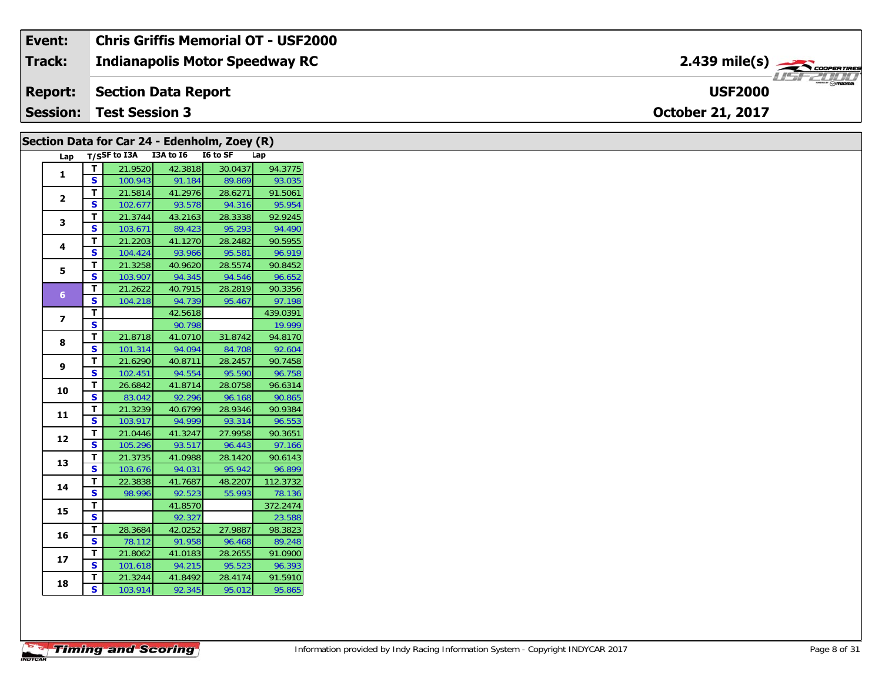| Event:          | Chris Griffis Memorial OT - USF2000   |                                                  |
|-----------------|---------------------------------------|--------------------------------------------------|
| <b>Track:</b>   | <b>Indianapolis Motor Speedway RC</b> |                                                  |
| <b>Report:</b>  | <b>Section Data Report</b>            | $m_{\text{max}}$ $\odot$ mazna<br><b>USF2000</b> |
| <b>Session:</b> | Test Session 3                        | <b>October 21, 2017</b>                          |

|                         |                         |                                     |                   | Section Data for Car 24 - Edenholm, Zoey (R) |                   |
|-------------------------|-------------------------|-------------------------------------|-------------------|----------------------------------------------|-------------------|
|                         |                         | Lap T/SSF to I3A I3A to I6 I6 to SF |                   |                                              | Lap               |
|                         | $\mathbf T$             | 21.9520                             | 42.3818           | 30.0437                                      | 94.3775           |
| 1                       | S.                      | 100.943                             | 91.184            | 89.869                                       | 93.035            |
| $\mathbf{2}$            | T.                      | 21.5814                             | 41.2976           | 28.6271                                      | 91.5061           |
|                         | S.                      | 102.677                             | 93.578            | 94.316                                       | 95.954            |
| 3                       | T.                      | 21.3744                             | 43.2163           | 28.3338                                      | 92.9245           |
|                         | S.                      | 103.671                             | 89.423            | 95.293                                       | 94.490            |
| 4                       | T.                      | 21.2203                             | 41.1270           | 28.2482                                      | 90.5955           |
|                         | S                       | 104.424                             | 93.966            | 95.581                                       | 96.919            |
| 5                       | T.                      | 21.3258                             | 40.9620           | 28.5574                                      | 90.8452           |
|                         | S.                      | 103.907                             | 94.345            | 94.546                                       | 96.652            |
| 6 <sup>1</sup>          | T.                      | 21.2622                             | 40.7915           | 28.2819                                      | 90.3356           |
|                         | S                       | 104.218                             | 94.739            | 95.467                                       | 97.198            |
| $\overline{\mathbf{z}}$ | T.                      |                                     | 42.5618           |                                              | 439.0391          |
|                         | S                       |                                     | 90.798            |                                              | 19.999            |
| 8                       | T.                      | 21.8718                             | 41.0710           | 31.8742                                      | 94.8170           |
|                         | S.                      | 101.314                             | 94.094            | 84.708                                       | 92.604            |
| 9                       | T.                      | 21.6290                             | 40.8711           | 28.2457                                      | 90.7458           |
|                         | S                       | 102.451                             | 94.554            | 95.590                                       | 96.758            |
| 10                      | Τ.<br>S.                | 26.6842                             | 41.8714           | 28.0758                                      | 96.6314           |
|                         | T.                      | 83.042                              | 92.296            | 96.168                                       | 90.865            |
| 11                      | S                       | 21.3239<br>103.917                  | 40.6799<br>94.999 | 28.9346<br>93.314                            | 90.9384<br>96.553 |
|                         | T.                      | 21.0446                             | 41.3247           | 27.9958                                      | 90.3651           |
| 12                      | S.                      | 105.296                             | 93.517            | 96.443                                       | 97.166            |
|                         | T.                      | 21.3735                             | 41.0988           | 28.1420                                      | 90.6143           |
| 13                      | S.                      | 103.676                             | 94.031            | 95.942                                       | 96.899            |
|                         | T.                      | 22.3838                             | 41.7687           | 48.2207                                      | 112.3732          |
| 14                      | S                       | 98.996                              | 92.523            | 55.993                                       | 78.136            |
|                         | T.                      |                                     | 41.8570           |                                              | 372.2474          |
| 15                      | $\overline{\mathbf{s}}$ |                                     | 92.327            |                                              | 23.588            |
|                         | T.                      | 28.3684                             | 42.0252           | 27.9887                                      | 98.3823           |
| 16                      | $\mathbf{s}$            | 78.112                              | 91.958            | 96.468                                       | 89.248            |
|                         | Τ.                      | 21.8062                             | 41.0183           | 28.2655                                      | 91.0900           |
| 17                      | S.                      | 101.618                             | 94.215            | 95.523                                       | 96.393            |
|                         | Τ.                      | 21.3244                             | 41.8492           | 28.4174                                      | 91.5910           |
| 18                      | S                       | 103.914                             | 92.345            | 95.012                                       | 95.865            |
|                         |                         |                                     |                   |                                              |                   |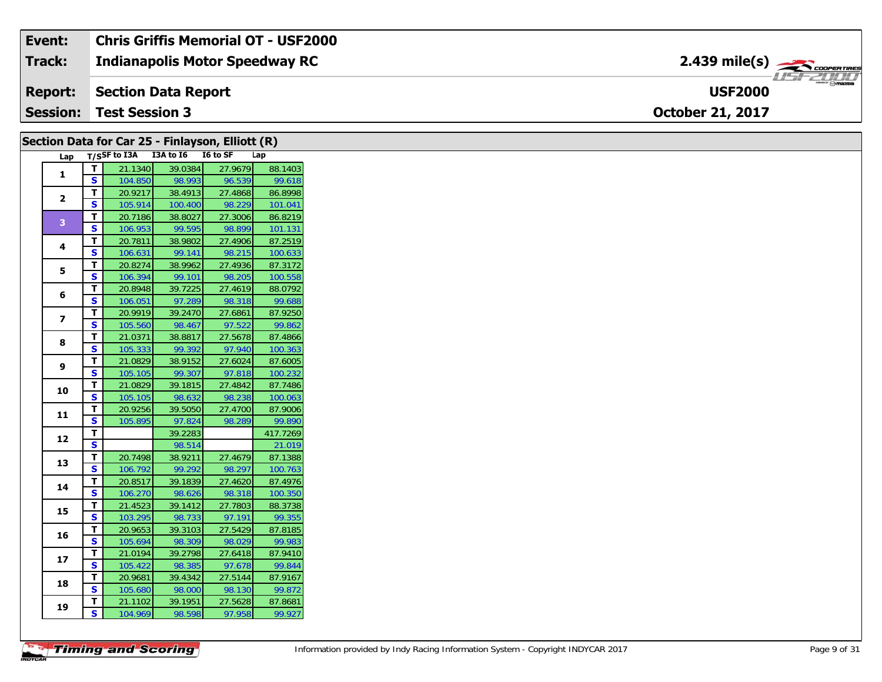| Event:          | <b>Chris Griffis Memorial OT - USF2000</b> |                                         |  |
|-----------------|--------------------------------------------|-----------------------------------------|--|
| Track:          | <b>Indianapolis Motor Speedway RC</b>      | $2.439$ mile(s) $\rightarrow$ convening |  |
|                 | <b>Report:</b> Section Data Report         | <b>USF2000</b>                          |  |
| <b>Session:</b> | Test Session 3                             | <b>October 21, 2017</b>                 |  |

|                |                         | Section Data for Car 25 - Finlayson, Elliott (R) |         |         |          |
|----------------|-------------------------|--------------------------------------------------|---------|---------|----------|
|                |                         | Lap T/SSF to I3A I3A to I6 I6 to SF              |         |         | Lap      |
|                | $\mathbf{T}$            | 21.1340                                          | 39.0384 | 27.9679 | 88.1403  |
| 1              | S                       | 104.850                                          | 98.993  | 96.539  | 99.618   |
|                | Т                       | 20.9217                                          | 38.4913 | 27.4868 | 86.8998  |
| $\overline{2}$ | S.                      | 105.914                                          | 100.400 | 98.229  | 101.041  |
| 3 <sup>°</sup> | $\mathbf{T}$            | 20.7186                                          | 38.8027 | 27.3006 | 86.8219  |
|                | <b>S</b>                | 106.953                                          | 99.595  | 98.899  | 101.131  |
| 4              | $\mathbf{T}$            | 20.7811                                          | 38.9802 | 27.4906 | 87.2519  |
|                | S.                      | 106.631                                          | 99.141  | 98.215  | 100.633  |
| 5              | T.                      | 20.8274                                          | 38.9962 | 27.4936 | 87.3172  |
|                | S                       | 106.394                                          | 99.101  | 98.205  | 100.558  |
| 6              | T                       | 20.8948                                          | 39.7225 | 27.4619 | 88.0792  |
|                | <b>S</b>                | 106.051                                          | 97.289  | 98.318  | 99.688   |
| $\overline{ }$ | T                       | 20.9919                                          | 39.2470 | 27.6861 | 87.9250  |
|                | S                       | 105.560                                          | 98.467  | 97.522  | 99.862   |
| 8              | T.                      | 21.0371                                          | 38.8817 | 27.5678 | 87.4866  |
|                | S                       | 105.333                                          | 99.392  | 97.940  | 100.363  |
|                | Т<br>9                  | 21.0829                                          | 38.9152 | 27.6024 | 87.6005  |
|                | S.                      | 105.105                                          | 99.307  | 97.818  | 100.232  |
| 10             | T.                      | 21.0829                                          | 39.1815 | 27.4842 | 87.7486  |
|                | S                       | 105.105                                          | 98.632  | 98.238  | 100.063  |
| 11             | T                       | 20.9256                                          | 39.5050 | 27.4700 | 87.9006  |
|                | S                       | 105.895                                          | 97.824  | 98.289  | 99.890   |
| 12             | T                       |                                                  | 39.2283 |         | 417.7269 |
|                | $\overline{\mathbf{s}}$ |                                                  | 98.514  |         | 21.019   |
| 13             | T.                      | 20.7498                                          | 38.9211 | 27.4679 | 87.1388  |
|                | <b>S</b>                | 106.792                                          | 99.292  | 98.297  | 100.763  |
| 14             | T                       | 20.8517                                          | 39.1839 | 27.4620 | 87.4976  |
|                | S                       | 106.270                                          | 98.626  | 98.318  | 100.350  |
| 15             | T.                      | 21.4523                                          | 39.1412 | 27.7803 | 88.3738  |
|                | <b>S</b>                | 103.295                                          | 98.733  | 97.191  | 99.355   |
| 16             | T.                      | 20.9653                                          | 39.3103 | 27.5429 | 87.8185  |
|                | S.                      | 105.694                                          | 98.309  | 98.029  | 99.983   |
| 17             | T.                      | 21.0194                                          | 39.2798 | 27.6418 | 87.9410  |
|                | S                       | 105.422                                          | 98.385  | 97.678  | 99.844   |
| 18             | T                       | 20.9681                                          | 39.4342 | 27.5144 | 87.9167  |
|                | <b>S</b>                | 105.680                                          | 98.000  | 98.130  | 99.872   |
| 19             | T.                      | 21.1102                                          | 39.1951 | 27.5628 | 87.8681  |
|                | S.                      | 104.969                                          | 98.598  | 97.958  | 99.927   |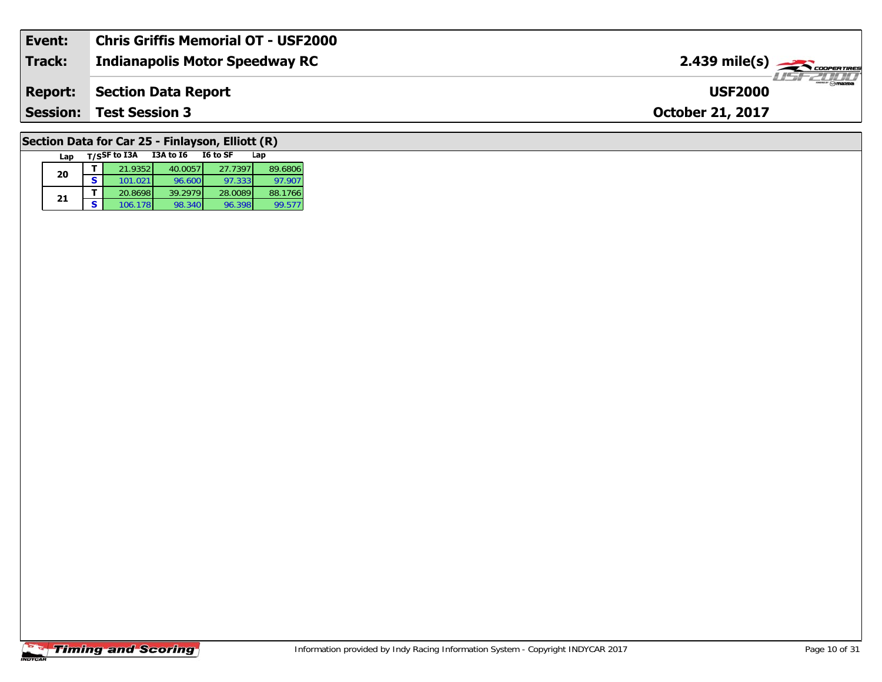| Event:          | <b>Chris Griffis Memorial OT - USF2000</b> |                                                |
|-----------------|--------------------------------------------|------------------------------------------------|
| Track:          | Indianapolis Motor Speedway RC             | $2.439$ mile(s) $\frac{1}{2.48}$ coorer Times  |
| <b>Report:</b>  | Section Data Report                        | $ \sim$ $\sim$ $\sim$ $\sim$<br><b>USF2000</b> |
| <b>Session:</b> | <b>Test Session 3</b>                      | <b>October 21, 2017</b>                        |
|                 |                                            |                                                |

## **Section Data for Car 25 - Finlayson, Elliott (R)**

| Lap |   | T/SSF to I3A | <b>I3A to 16</b> | I6 to SF | Lap     |
|-----|---|--------------|------------------|----------|---------|
| 20  |   | 21.9352      | 40.0057          | 27.7397  | 89.6806 |
|     | S | 101.021      | 96.600           | 97.333   | 97.907  |
| 21  |   | 20.8698      | 39.2979          | 28.0089  | 88.1766 |
|     | s | 106.178      | 98.340           | 96.398   | 99.577  |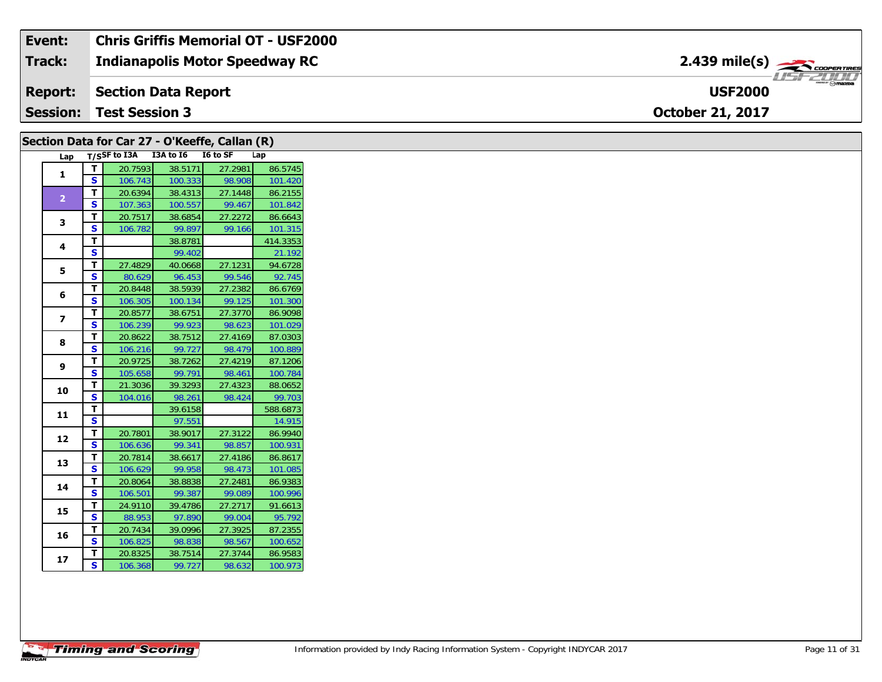| Event:          | <b>Chris Griffis Memorial OT - USF2000</b> |                                                                                                                                                                                                                                                                                                                                                                                                                                                                                                   |
|-----------------|--------------------------------------------|---------------------------------------------------------------------------------------------------------------------------------------------------------------------------------------------------------------------------------------------------------------------------------------------------------------------------------------------------------------------------------------------------------------------------------------------------------------------------------------------------|
| Track:          | <b>Indianapolis Motor Speedway RC</b>      | $2.439$ mile(s) $\rightarrow$ coorganges                                                                                                                                                                                                                                                                                                                                                                                                                                                          |
| Report:         | Section Data Report                        | $\overline{\phantom{a}}$ $\overline{\phantom{a}}$ $\overline{\phantom{a}}$ $\overline{\phantom{a}}$ $\overline{\phantom{a}}$ $\overline{\phantom{a}}$ $\overline{\phantom{a}}$ $\overline{\phantom{a}}$ $\overline{\phantom{a}}$ $\overline{\phantom{a}}$ $\overline{\phantom{a}}$ $\overline{\phantom{a}}$ $\overline{\phantom{a}}$ $\overline{\phantom{a}}$ $\overline{\phantom{a}}$ $\overline{\phantom{a}}$ $\overline{\phantom{a}}$ $\overline{\phantom{a}}$ $\overline{\$<br><b>USF2000</b> |
| <b>Session:</b> | <b>Test Session 3</b>                      | <b>October 21, 2017</b>                                                                                                                                                                                                                                                                                                                                                                                                                                                                           |

|  |                |          |         |                                     | Section Data for Car 27 - O'Keeffe, Callan (R) |          |
|--|----------------|----------|---------|-------------------------------------|------------------------------------------------|----------|
|  |                |          |         | Lap T/SSF to I3A I3A to I6 I6 to SF |                                                | Lap      |
|  | $\mathbf{1}$   | T.       | 20.7593 | 38.5171                             | 27.2981                                        | 86.5745  |
|  |                | <b>S</b> | 106.743 | 100.333                             | 98.908                                         | 101.420  |
|  | $\overline{2}$ | T.       | 20.6394 | 38.4313                             | 27.1448                                        | 86.2155  |
|  |                | <b>S</b> | 107.363 | 100.557                             | 99.467                                         | 101.842  |
|  | 3              | T.       | 20.7517 | 38.6854                             | 27.2272                                        | 86.6643  |
|  |                | S.       | 106.782 | 99.897                              | 99.166                                         | 101.315  |
|  | 4              | T        |         | 38.8781                             |                                                | 414.3353 |
|  |                | S.       |         | 99.402                              |                                                | 21.192   |
|  | 5              | T        | 27.4829 | 40.0668                             | 27.1231                                        | 94.6728  |
|  |                | S.       | 80.629  | 96.453                              | 99.546                                         | 92.745   |
|  | 6              | T        | 20.8448 | 38.5939                             | 27.2382                                        | 86.6769  |
|  |                | S        | 106.305 | 100.134                             | 99.125                                         | 101.300  |
|  | $\overline{ }$ | T        | 20.8577 | 38.6751                             | 27.3770                                        | 86.9098  |
|  |                | S.       | 106.239 | 99.923                              | 98.623                                         | 101.029  |
|  | 8              | T.       | 20.8622 | 38.7512                             | 27.4169                                        | 87.0303  |
|  |                | S        | 106.216 | 99.727                              | 98.479                                         | 100.889  |
|  | 9              | T        | 20.9725 | 38.7262                             | 27.4219                                        | 87.1206  |
|  |                | S        | 105.658 | 99.791                              | 98.461                                         | 100.784  |
|  | 10             | T.       | 21.3036 | 39.3293                             | 27.4323                                        | 88.0652  |
|  |                | S        | 104.016 | 98.261                              | 98.424                                         | 99.703   |
|  | 11             | T        |         | 39.6158                             |                                                | 588.6873 |
|  |                | S        |         | 97.551                              |                                                | 14.915   |
|  | 12             | T.       | 20.7801 | 38.9017                             | 27.3122                                        | 86.9940  |
|  |                | S.       | 106.636 | 99.341                              | 98.857                                         | 100.931  |
|  | 13             | т        | 20.7814 | 38.6617                             | 27.4186                                        | 86.8617  |
|  |                | S        | 106.629 | 99.958                              | 98.473                                         | 101.085  |
|  | 14             | T.       | 20.8064 | 38.8838                             | 27.2481                                        | 86.9383  |
|  |                | S        | 106.501 | 99.387                              | 99.089                                         | 100.996  |
|  | 15             | T.       | 24.9110 | 39.4786                             | 27.2717                                        | 91.6613  |
|  |                | S.       | 88.953  | 97.890                              | 99.004                                         | 95.792   |
|  | 16             | T.       | 20.7434 | 39.0996                             | 27.3925                                        | 87.2355  |
|  |                | S.       | 106.825 | 98.838                              | 98.567                                         | 100.652  |
|  | 17             | T.       | 20.8325 | 38.7514                             | 27.3744                                        | 86.9583  |
|  |                | S.       | 106.368 | 99.727                              | 98.632                                         | 100.973  |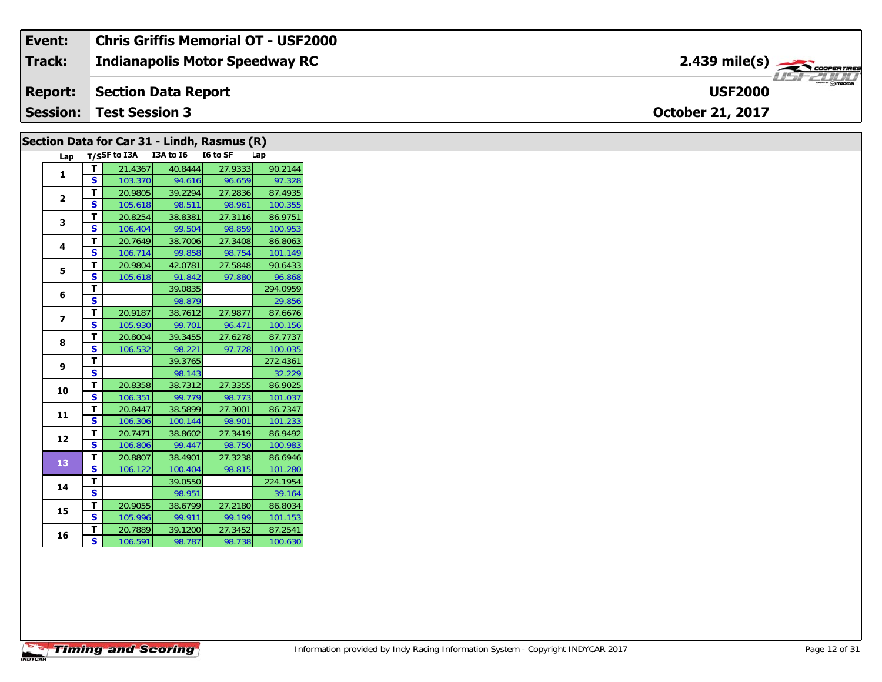#### **Indianapolis Motor Speedway RC Section Data Report October 21, 2017 Event: Chris Griffis Memorial OT - USF2000 Track: Report: Session: Test Session 3 USF2000**2.439 mile(s)

| Lap                     |                              | T/SSF to I3A I3A to I6 |                   | I6 to SF          | Lap               |
|-------------------------|------------------------------|------------------------|-------------------|-------------------|-------------------|
| 1                       | T                            | 21.4367                | 40.8444           | 27.9333           | 90.2144           |
|                         | S                            | 103.370                | 94.616            | 96.659            | 97.328            |
| $\overline{2}$          | T                            | 20.9805                | 39.2294           | 27.2836           | 87.4935           |
|                         | $\mathbf{s}$                 | 105.618                | 98.511            | 98.961            | 100.355           |
| 3                       | Т                            | 20.8254                | 38.8381           | 27.3116           | 86.9751           |
|                         | S                            | 106.404                | 99.504            | 98.859            | 100.953           |
| 4                       | T                            | 20.7649                | 38.7006           | 27.3408           | 86.8063           |
|                         | S<br>T                       | 106.714<br>20.9804     | 99.858            | 98.754            | 101.149           |
| 5                       | $\mathbf{s}$                 | 105.618                | 42.0781<br>91.842 | 27.5848<br>97.880 | 90.6433<br>96.868 |
|                         | T                            |                        | 39.0835           |                   | 294.0959          |
| 6                       | $\mathbf{s}$                 |                        | 98.879            |                   | 29.856            |
|                         | T                            | 20.9187                | 38.7612           | 27.9877           | 87.6676           |
| $\overline{\mathbf{z}}$ | $\mathbf{s}$                 | 105.930                | 99.701            | 96.471            | 100.156           |
|                         | T                            | 20.8004                | 39.3455           | 27.6278           | 87.7737           |
| 8                       | <b>S</b>                     | 106.532                | 98.221            | 97.728            | 100.035           |
|                         | T                            |                        | 39.3765           |                   | 272.4361          |
| 9                       | $\mathbf{s}$                 |                        | 98.143            |                   | 32.229            |
| 10                      | T                            | 20.8358                | 38.7312           | 27.3355           | 86.9025           |
|                         | $\mathbf{s}$                 | 106.351                | 99.779            | 98.773            | 101.037           |
| 11                      | T                            | 20.8447                | 38.5899           | 27.3001           | 86.7347           |
|                         | $\mathbf{s}$                 | 106.306                | 100.144           | 98.901            | 101.233           |
| 12                      | Т                            | 20.7471                | 38.8602           | 27.3419           | 86.9492           |
|                         | $\mathbf{s}$                 | 106.806                | 99.447            | 98.750            | 100.983           |
| 13                      | $\mathbf{T}$                 | 20.8807                | 38.4901           | 27.3238           | 86.6946           |
|                         | <b>S</b>                     | 106.122                | 100.404           | 98.815            | 101.280           |
| 14                      | T                            |                        | 39.0550           |                   | 224.1954          |
|                         | $\overline{\mathbf{s}}$      |                        | 98.951            |                   | 39.164            |
| 15                      | т                            | 20.9055                | 38.6799           | 27.2180           | 86.8034           |
|                         | <b>S</b>                     | 105.996                | 99.911            | 99.199            | 101.153           |
| 16                      | T<br>$\overline{\mathbf{s}}$ | 20.7889                | 39.1200           | 27.3452           | 87.2541           |
|                         |                              | 106.591                | 98.787            | 98.738            | 100.630           |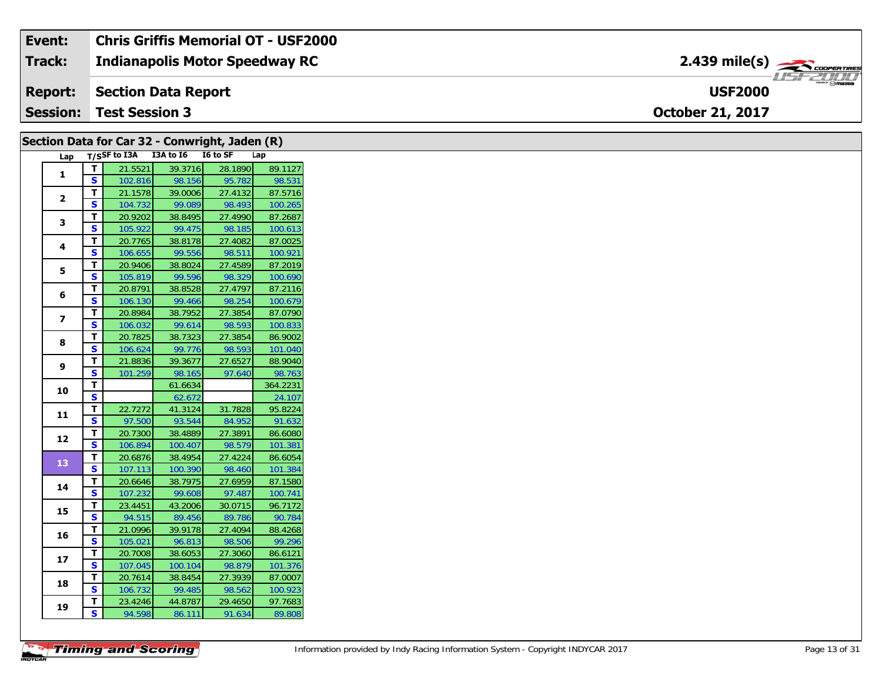| Event:          | <b>Chris Griffis Memorial OT - USF2000</b> |                                         |  |
|-----------------|--------------------------------------------|-----------------------------------------|--|
| Track:          | <b>Indianapolis Motor Speedway RC</b>      | $2.439$ mile(s) $\rightarrow$ convening |  |
|                 | <b>Report:</b> Section Data Report         | <b>USF2000</b>                          |  |
| $\mid$ Session: | <b>Test Session 3</b>                      | <b>October 21, 2017</b>                 |  |

|                         |                         | Section Data for Car 32 - Conwright, Jaden (R) |                   |                   |                    |
|-------------------------|-------------------------|------------------------------------------------|-------------------|-------------------|--------------------|
| Lap                     |                         | T/SSF to I3A I3A to I6 I6 to SF                |                   |                   | Lap                |
| $\mathbf{1}$            | $\mathbf{T}$            | 21.5521                                        | 39.3716           | 28.1890           | 89.1127            |
|                         | $\mathbf{s}$            | 102.816                                        | 98.156            | 95.782            | 98.531             |
| $\mathbf{2}$            | $\mathbf T$             | 21.1578                                        | 39.0006           | 27.4132           | 87.5716            |
|                         | S                       | 104.732                                        | 99.089            | 98.493            | 100.265            |
| 3                       | $\mathbf{T}$            | 20.9202                                        | 38.8495           | 27.4990           | 87.2687            |
|                         | $\mathbf{s}$            | 105.922                                        | 99.475            | 98.185            | 100.613            |
| 4                       | $\mathbf{T}$            | 20.7765                                        | 38.8178           | 27.4082           | 87.0025            |
|                         | S                       | 106.655                                        | 99.556            | 98.511            | 100.921            |
| 5                       | $\mathbf T$             | 20.9406                                        | 38.8024           | 27.4589           | 87.2019            |
|                         | S                       | 105.819                                        | 99.596            | 98.329            | 100.690            |
| 6                       | $\mathbf{T}$            | 20.8791                                        | 38.8528           | 27.4797           | 87.2116            |
|                         | S                       | 106.130                                        | 99.466            | 98.254            | 100.679            |
| $\overline{\mathbf{z}}$ | $\mathbf{T}$            | 20.8984                                        | 38.7952           | 27.3854           | 87.0790            |
|                         | <b>S</b>                | 106.032                                        | 99.614            | 98.593            | 100.833            |
| 8                       | $\mathbf{T}$            | 20.7825                                        | 38.7323           | 27.3854           | 86.9002            |
|                         | $\mathbf{s}$            | 106.624                                        | 99.776            | 98.593            | 101.040            |
| 9                       | Т                       | 21.8836                                        | 39.3677           | 27.6527           | 88.9040            |
|                         | S                       | 101.259                                        | 98.165            | 97.640            | 98.763             |
| 10                      | Т                       |                                                | 61.6634           |                   | 364.2231           |
|                         | $\overline{\mathbf{s}}$ |                                                | 62.672            |                   | 24.107             |
| 11                      | $\mathbf{T}$            | 22.7272                                        | 41.3124           | 31.7828           | 95.8224            |
|                         | S                       | 97.500                                         | 93.544            | 84.952            | 91.632             |
| 12                      | T                       | 20.7300                                        | 38.4889           | 27.3891           | 86.6080            |
|                         | S                       | 106.894                                        | 100.407           | 98.579            | 101.381            |
| 13                      | $\mathbf T$             | 20.6876                                        | 38.4954           | 27.4224           | 86.6054            |
|                         | $\mathbf{s}$            | 107.113                                        | 100.390           | 98.460            | 101.384            |
| 14                      | $\mathbf T$             | 20.6646                                        | 38.7975           | 27.6959           | 87.1580            |
|                         | S                       | 107.232                                        | 99.608            | 97.487            | 100.741            |
| 15                      | $\mathbf T$             | 23.4451                                        | 43.2006           | 30.0715           | 96.7172            |
|                         | $\overline{\mathbf{s}}$ | 94.515                                         | 89.456            | 89.786            | 90.784             |
| 16                      | $\mathbf{T}$            | 21.0996                                        | 39.9178           | 27.4094           | 88.4268            |
|                         | $\mathbf{s}$            | 105.021                                        | 96.813            | 98.506            | 99.296             |
| 17                      | $\mathbf T$             | 20.7008                                        | 38.6053           | 27.3060           | 86.6121            |
|                         | S<br>$\mathbf{T}$       | 107.045                                        | 100.104           | 98.879            | 101.376<br>87.0007 |
| 18                      | $\mathbf{s}$            | 20.7614                                        | 38.8454           | 27.3939           |                    |
|                         | T                       | 106.732<br>23.4246                             | 99.485<br>44.8787 | 98.562<br>29.4650 | 100.923<br>97.7683 |
| 19                      | S                       |                                                |                   |                   |                    |
|                         |                         | 94.598                                         | 86.111            | 91.634            | 89.808             |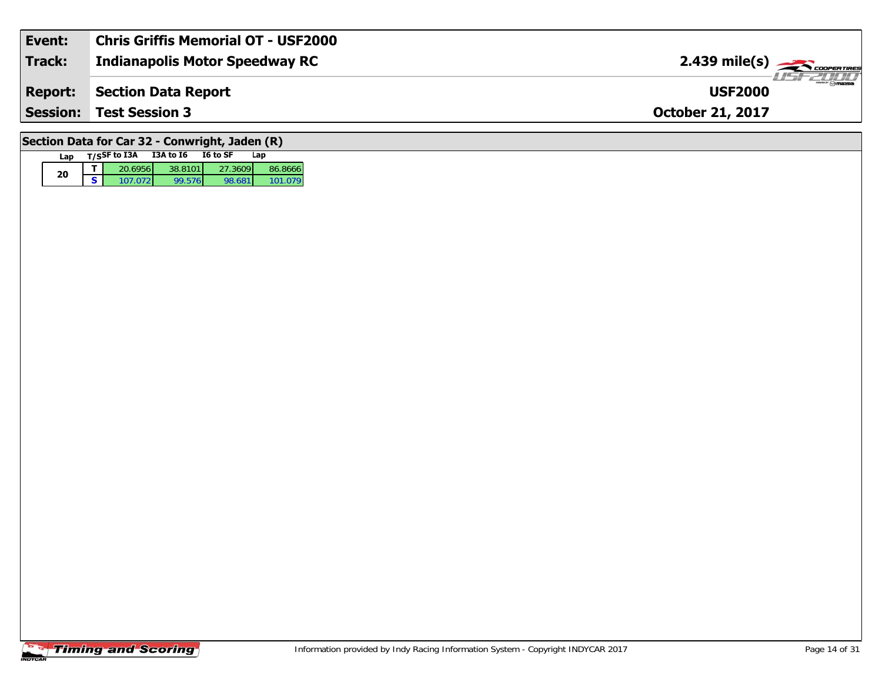| Event:          | Chris Griffis Memorial OT - USF2000 |                                                            |
|-----------------|-------------------------------------|------------------------------------------------------------|
| Track:          | Indianapolis Motor Speedway RC      | $2.439$ mile(s) $\overbrace{\hspace{2cm}}$ coorer TIRES    |
| <b>Report:</b>  | Section Data Report                 | $\overline{\phantom{a}}$ $\otimes$ mazpa<br><b>USF2000</b> |
| <b>Session:</b> | <b>Test Session 3</b>               | <b>October 21, 2017</b>                                    |
|                 |                                     |                                                            |

# **Section Data for Car 32 - Conwright, Jaden (R)**

| Lan |   | T/SSF to I3A | I3A to I6 | I6 to SF | Lan     |
|-----|---|--------------|-----------|----------|---------|
|     |   | 20.6956      | 38.8101   | 27.3609  | 86.8666 |
| 20  | - | 1070721      | 99.5761   | 98.681   | 101 079 |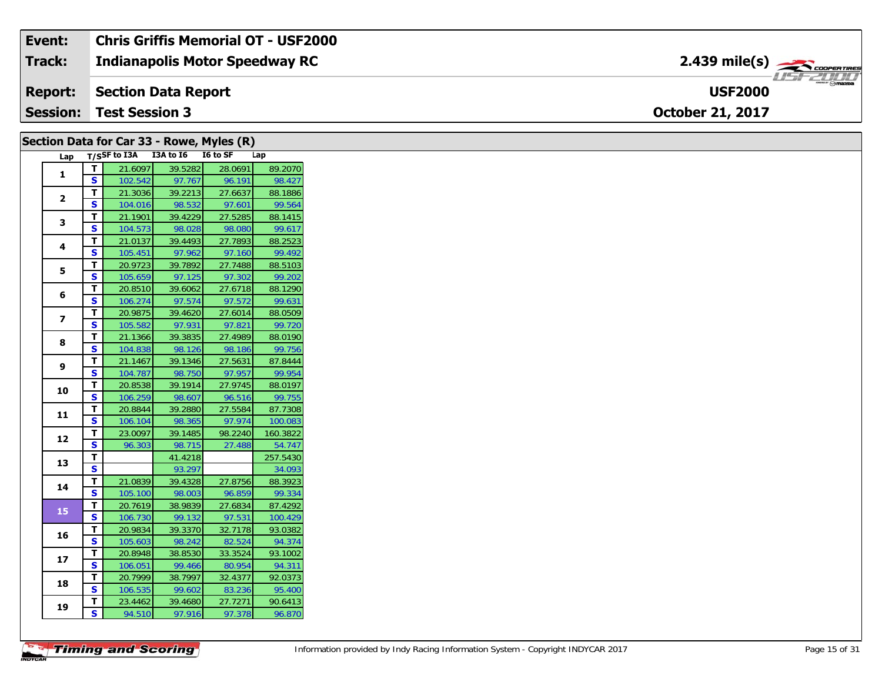| Event:          | <b>Chris Griffis Memorial OT - USF2000</b> |                                                 |
|-----------------|--------------------------------------------|-------------------------------------------------|
| <b>Track:</b>   | <b>Indianapolis Motor Speedway RC</b>      | $2.439$ mile(s) $\rightarrow$                   |
| <b>Report:</b>  | Section Data Report                        | $m_{\text{max}} \odot m$ azna<br><b>USF2000</b> |
| <b>Session:</b> | <b>Test Session 3</b>                      | <b>October 21, 2017</b>                         |

|                         |                         |                            |                   | Section Data for Car 33 - Rowe, Myles (R) |          |
|-------------------------|-------------------------|----------------------------|-------------------|-------------------------------------------|----------|
|                         |                         | Lap T/SSF to I3A I3A to I6 |                   | I6 to SF                                  | Lap      |
|                         | $\mathbf T$             | 21.6097                    | 39.5282           | 28.0691                                   | 89.2070  |
| 1                       | S                       | 102.542                    | 97.767            | 96.191                                    | 98.427   |
| $\mathbf{2}$            | Т                       | 21.3036                    | 39.2213           | 27.6637                                   | 88.1886  |
|                         | <b>S</b>                | 104.016                    | 98.532            | 97.601                                    | 99.564   |
| 3                       | т                       | 21.1901                    | 39.4229           | 27.5285                                   | 88.1415  |
|                         | S                       | 104.573                    | 98.028            | 98.080                                    | 99.617   |
| 4                       | Т                       | 21.0137                    | 39.4493           | 27.7893                                   | 88.2523  |
|                         | <b>S</b>                | 105.451                    | 97.962            | 97.160                                    | 99.492   |
| 5                       | $\mathbf{T}$            | 20.9723                    | 39.7892           | 27.7488                                   | 88.5103  |
|                         | $\overline{\mathbf{s}}$ | 105.659                    | 97.125            | 97.302                                    | 99.202   |
| 6                       | T.                      | 20.8510                    | 39.6062           | 27.6718                                   | 88.1290  |
|                         | S                       | 106.274                    | 97.574            | 97.572                                    | 99.631   |
| $\overline{\mathbf{z}}$ | Т                       | 20.9875                    | 39.4620           | 27.6014                                   | 88.0509  |
|                         | S                       | 105.582                    | 97.931            | 97.821                                    | 99.720   |
| 8                       | T                       | 21.1366                    | 39.3835           | 27.4989                                   | 88.0190  |
|                         | S                       | 104.838                    | 98.126            | 98.186                                    | 99.756   |
| 9                       | Т                       | 21.1467                    | 39.1346           | 27.5631                                   | 87.8444  |
|                         | <b>S</b>                | 104.787                    | 98.750            | 97.957                                    | 99.954   |
| 10                      | Т                       | 20.8538                    | 39.1914           | 27.9745                                   | 88.0197  |
|                         | S                       | 106.259                    | 98.607            | 96.516                                    | 99.755   |
| 11                      | T                       | 20.8844                    | 39.2880           | 27.5584                                   | 87.7308  |
|                         | $\mathbf{s}$            | 106.104                    | 98.365            | 97.974                                    | 100.083  |
| 12                      | Т                       | 23.0097                    | 39.1485           | 98.2240                                   | 160.3822 |
|                         | S                       | 96.303                     | 98.715            | 27.488                                    | 54.747   |
| 13                      | T                       |                            | 41.4218           |                                           | 257.5430 |
|                         | $\mathbf{s}$            |                            | 93.297            |                                           | 34.093   |
| 14                      | T.                      | 21.0839                    | 39.4328           | 27.8756                                   | 88.3923  |
|                         | S                       | 105.100                    | 98.003            | 96.859                                    | 99.334   |
| 15                      | T                       | 20.7619                    | 38.9839           | 27.6834                                   | 87.4292  |
|                         | S                       | 106.730                    | 99.132            | 97.531                                    | 100.429  |
| 16                      | T.                      | 20.9834                    | 39.3370           | 32.7178                                   | 93.0382  |
|                         | $\mathbf{s}$            | 105.603                    | 98.242            | 82.524                                    | 94.374   |
| 17                      | т                       | 20.8948                    | 38.8530           | 33.3524                                   | 93.1002  |
|                         | S                       | 106.051                    | 99.466            | 80.954                                    | 94.311   |
| 18                      | T                       | 20.7999                    | 38.7997           | 32.4377                                   | 92.0373  |
|                         | S                       | 106.535                    | 99.602            | 83.236                                    | 95.400   |
| 19                      | T.<br>S                 | 23.4462                    | 39.4680<br>97.916 | 27.7271                                   | 90.6413  |
|                         |                         | 94.510                     |                   | 97.378                                    | 96.870   |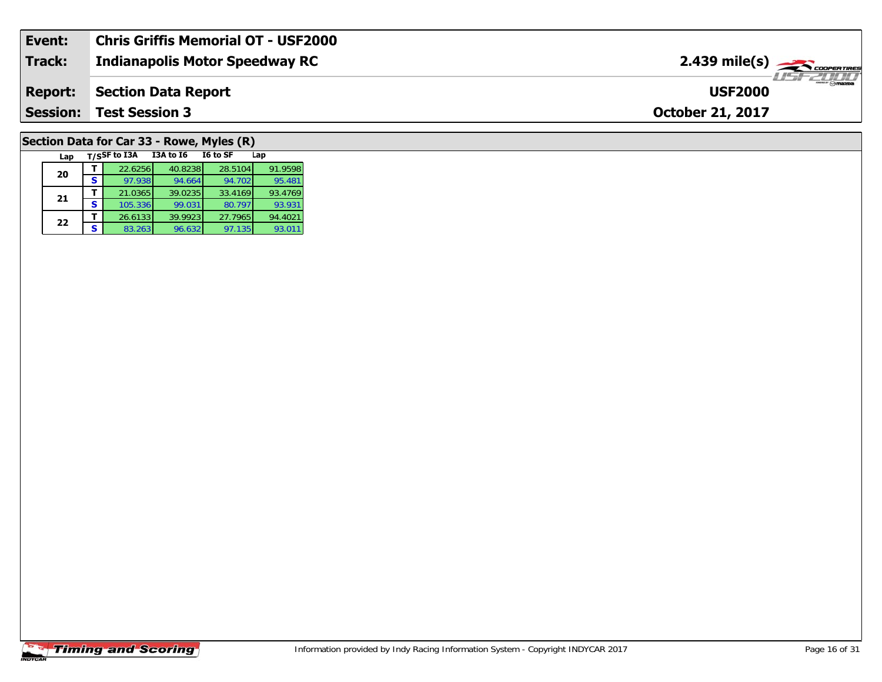| Event:          | <b>Chris Griffis Memorial OT - USF2000</b> |                                         |
|-----------------|--------------------------------------------|-----------------------------------------|
| <b>Track:</b>   | Indianapolis Motor Speedway RC             | $2.439$ mile(s) $\frac{1}{\sqrt{2.600}$ |
| <b>Report:</b>  | Section Data Report                        | $ \theta$ mazoa<br><b>USF2000</b>       |
| <b>Session:</b> | <b>Test Session 3</b>                      | <b>October 21, 2017</b>                 |
|                 |                                            |                                         |

# **Section Data for Car 33 - Rowe, Myles (R)**

| Lap |   | T/SSF to I3A | <b>I3A to 16</b> | I6 to SF | Lap     |
|-----|---|--------------|------------------|----------|---------|
| 20  |   | 22.6256      | 40.8238          | 28.5104  | 91.9598 |
|     | S | 97.938       | 94.664           | 94.702   | 95.481  |
| 21  |   | 21.0365      | 39.0235          | 33.4169  | 93.4769 |
|     | S | 105.336      | 99.031           | 80.797   | 93.931  |
| 22  |   | 26.6133      | 39.9923          | 27.7965  | 94.4021 |
|     | s | 83.263       | 96.632           | 97.135   | 93.011  |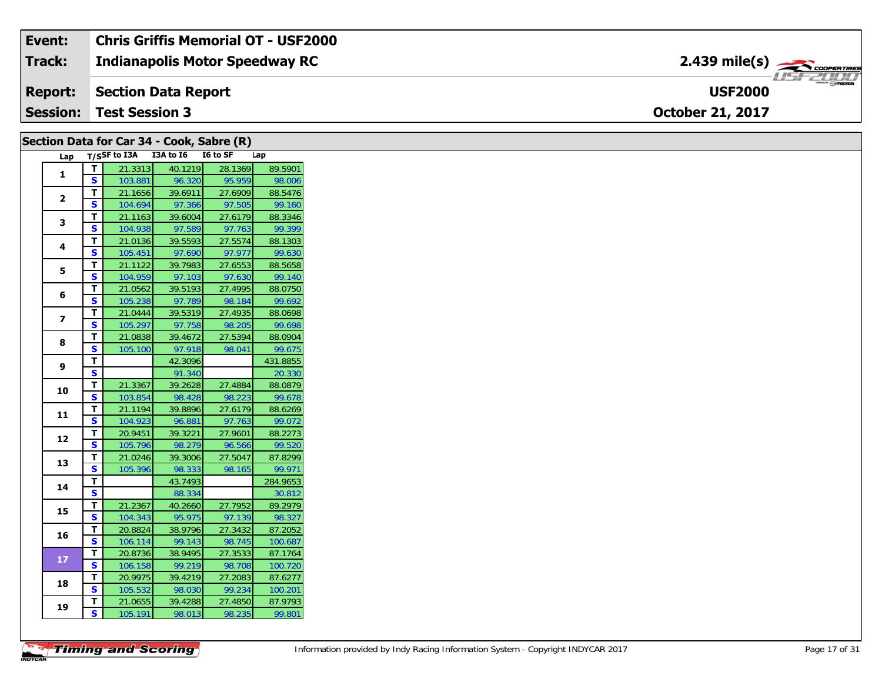| Event:        | <b>Chris Griffis Memorial OT - USF2000</b> |                                                        |
|---------------|--------------------------------------------|--------------------------------------------------------|
| <b>Track:</b> | Indianapolis Motor Speedway RC             | $2.439$ mile(s) $\overbrace{\hspace{2cm}}$ coorentines |
|               | <b>Report: Section Data Report</b>         | <b>USF2000</b>                                         |
|               | <b>Session: Test Session 3</b>             | <b>October 21, 2017</b>                                |

## **Section Data for Car 34 - Cook, Sabre (R)**

| Lap            |                         | T/SSF to I3A | I3A to I6 | I6 to SF | Lap      |
|----------------|-------------------------|--------------|-----------|----------|----------|
| $\mathbf{1}$   | т                       | 21.3313      | 40.1219   | 28.1369  | 89.5901  |
|                | S                       | 103.881      | 96.320    | 95.959   | 98.006   |
| $\overline{2}$ | T                       | 21.1656      | 39.6911   | 27.6909  | 88.5476  |
|                | S                       | 104.694      | 97.366    | 97.505   | 99.160   |
| 3              | т                       | 21.1163      | 39.6004   | 27.6179  | 88.3346  |
|                | S                       | 104.938      | 97.589    | 97.763   | 99.399   |
|                | Т                       | 21.0136      | 39.5593   | 27.5574  | 88.1303  |
| 4              | S                       | 105.451      | 97.690    | 97.977   | 99.630   |
| 5              | T                       | 21.1122      | 39.7983   | 27.6553  | 88.5658  |
|                | S                       | 104.959      | 97.103    | 97.630   | 99.140   |
|                | т                       | 21.0562      | 39.5193   | 27.4995  | 88.0750  |
| 6              | Ś                       | 105.238      | 97.789    | 98.184   | 99.692   |
| 7              | т                       | 21.0444      | 39.5319   | 27.4935  | 88.0698  |
|                | S                       | 105.297      | 97.758    | 98.205   | 99.698   |
| 8              | T                       | 21.0838      | 39.4672   | 27.5394  | 88.0904  |
|                | S                       | 105.100      | 97.918    | 98.041   | 99.675   |
| 9              | T                       |              | 42.3096   |          | 431.8855 |
|                | S                       |              | 91.340    |          | 20.330   |
| 10             | T.                      | 21.3367      | 39.2628   | 27.4884  | 88.0879  |
|                | S                       | 103.854      | 98.428    | 98.223   | 99.678   |
| 11             | т                       | 21.1194      | 39.8896   | 27.6179  | 88.6269  |
|                | S                       | 104.923      | 96.881    | 97.763   | 99.072   |
| 12             | т                       | 20.9451      | 39.3221   | 27.9601  | 88.2273  |
|                | S                       | 105.796      | 98.279    | 96.566   | 99.520   |
| 13             | т                       | 21.0246      | 39.3006   | 27.5047  | 87.8299  |
|                | $\overline{\mathbf{s}}$ | 105.396      | 98.333    | 98.165   | 99.971   |
| 14             | T                       |              | 43.7493   |          | 284.9653 |
|                | S                       |              | 88.334    |          | 30.812   |
| 15             | T                       | 21.2367      | 40.2660   | 27.7952  | 89.2979  |
|                | S                       | 104.343      | 95.975    | 97.139   | 98.327   |
| 16             | T                       | 20.8824      | 38.9796   | 27.3432  | 87.2052  |
|                | S                       | 106.114      | 99.143    | 98.745   | 100.687  |
| 17             | т                       | 20.8736      | 38.9495   | 27.3533  | 87.1764  |
|                | S                       | 106.158      | 99.219    | 98.708   | 100.720  |
| 18             | T                       | 20.9975      | 39.4219   | 27.2083  | 87.6277  |
|                | S                       | 105.532      | 98.030    | 99.234   | 100.201  |
| 19             | т                       | 21.0655      | 39.4288   | 27.4850  | 87.9793  |
|                | $\overline{\mathsf{s}}$ | 105.191      | 98.013    | 98.235   | 99.801   |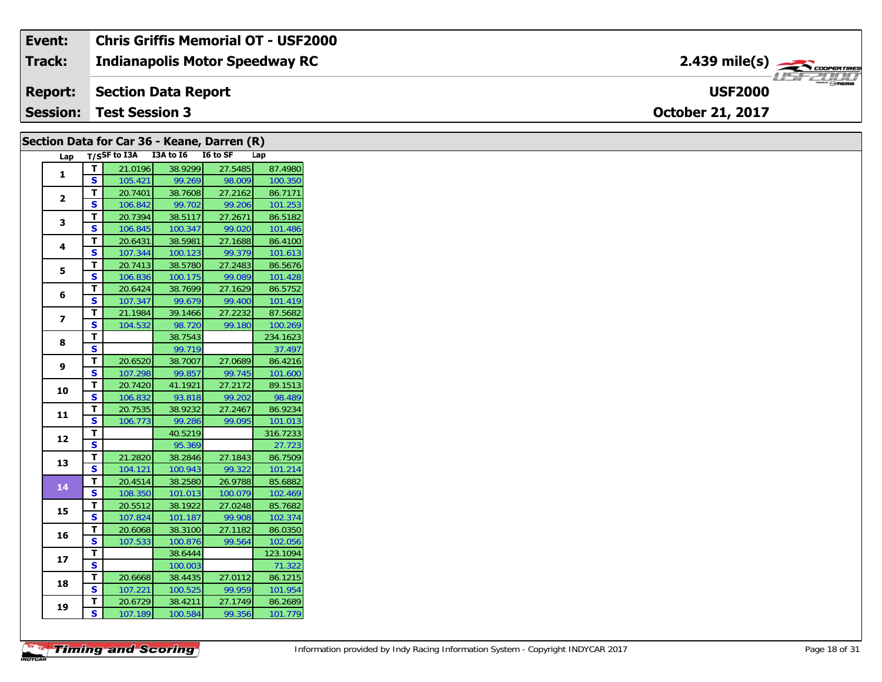#### Event: **Chris Griffis Memorial OT - USF2000**  $2.439 \text{ mile(s)}$ **Track: Indianapolis Motor Speedway RC** USF 2000 **USF2000 Report: Section Data Report Session: Test Session 3** October 21, 2017

|                          |              |                                 |         | Section Data for Car 36 - Keane, Darren (R) |          |
|--------------------------|--------------|---------------------------------|---------|---------------------------------------------|----------|
| Lap                      |              | T/SSF to I3A I3A to I6 I6 to SF |         |                                             | Lap      |
|                          | T            | 21.0196                         | 38.9299 | 27.5485                                     | 87.4980  |
| 1                        | <b>S</b>     | 105.421                         | 99.269  | 98.009                                      | 100.350  |
|                          | T            | 20.7401                         | 38.7608 | 27.2162                                     | 86.7171  |
| $\mathbf{2}$             | S            | 106.842                         | 99.702  | 99.206                                      | 101.253  |
|                          | T.           | 20.7394                         | 38.5117 | 27.2671                                     | 86.5182  |
| 3                        | S            | 106.845                         | 100.347 | 99.020                                      | 101.486  |
| 4                        | Т            | 20.6431                         | 38.5981 | 27.1688                                     | 86.4100  |
|                          | S            | 107.344                         | 100.123 | 99.379                                      | 101.613  |
| 5                        | T            | 20.7413                         | 38.5780 | 27.2483                                     | 86.5676  |
|                          | S            | 106.836                         | 100.175 | 99.089                                      | 101.428  |
| 6                        | T            | 20.6424                         | 38.7699 | 27.1629                                     | 86.5752  |
|                          | <b>S</b>     | 107.347                         | 99.679  | 99.400                                      | 101.419  |
| $\overline{\phantom{a}}$ | T.           | 21.1984                         | 39.1466 | 27.2232                                     | 87.5682  |
|                          | S            | 104.532                         | 98.720  | 99.180                                      | 100.269  |
| 8                        | T            |                                 | 38.7543 |                                             | 234.1623 |
|                          | S            |                                 | 99.719  |                                             | 37.497   |
| 9                        | T            | 20.6520                         | 38.7007 | 27.0689                                     | 86.4216  |
|                          | S            | 107.298                         | 99.857  | 99.745                                      | 101.600  |
| 10                       | T            | 20.7420                         | 41.1921 | 27.2172                                     | 89.1513  |
|                          | S            | 106.832                         | 93.818  | 99.202                                      | 98.489   |
| 11                       | T            | 20.7535                         | 38.9232 | 27.2467                                     | 86.9234  |
|                          | S            | 106.773                         | 99.286  | 99.095                                      | 101.013  |
| 12                       | T            |                                 | 40.5219 |                                             | 316.7233 |
|                          | <b>S</b>     |                                 | 95.369  |                                             | 27.723   |
| 13                       | T            | 21.2820                         | 38.2846 | 27.1843                                     | 86.7509  |
|                          | <b>S</b>     | 104.121                         | 100.943 | 99.322                                      | 101.214  |
| 14                       | T.           | 20.4514                         | 38.2580 | 26.9788                                     | 85.6882  |
|                          | S            | 108.350                         | 101.013 | 100.079                                     | 102.469  |
| 15                       | T            | 20.5512                         | 38.1922 | 27.0248                                     | 85.7682  |
|                          | $\mathbf{s}$ | 107.824                         | 101.187 | 99.908                                      | 102.374  |
| 16                       | T            | 20.6068                         | 38.3100 | 27.1182                                     | 86.0350  |
|                          | S            | 107.533                         | 100.876 | 99.564                                      | 102.056  |
| 17                       | T.           |                                 | 38.6444 |                                             | 123.1094 |
|                          | S            |                                 | 100.003 |                                             | 71.322   |
| 18                       | т            | 20.6668                         | 38.4435 | 27.0112                                     | 86.1215  |
|                          | S            | 107.221                         | 100.525 | 99.959                                      | 101.954  |
| 19                       | T            | 20.6729                         | 38.4211 | 27.1749                                     | 86.2689  |
|                          | S            | 107.189                         | 100.584 | 99.356                                      | 101.779  |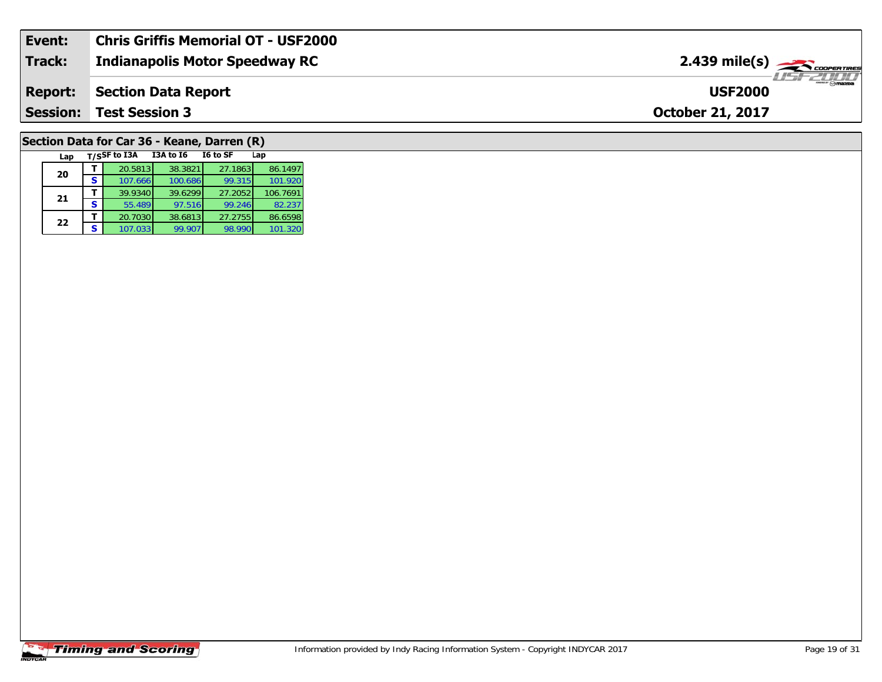| Event:          | Chris Griffis Memorial OT - USF2000   |                                                      |
|-----------------|---------------------------------------|------------------------------------------------------|
| <b>Track:</b>   | <b>Indianapolis Motor Speedway RC</b> | $2.439$ mile(s) $\overbrace{\hspace{2cm}}$ coorering |
| <b>Report:</b>  | Section Data Report                   | $\rightarrow$ $\rightarrow$ mazoa<br><b>USF2000</b>  |
| <b>Session:</b> | <b>Test Session 3</b>                 | <b>October 21, 2017</b>                              |
|                 |                                       |                                                      |

# **Section Data for Car 36 - Keane, Darren (R)**

|    | Lap |   | T/SSF to I3A | <b>I3A to 16</b> | I6 to SF | Lap      |
|----|-----|---|--------------|------------------|----------|----------|
| 20 |     |   | 20.5813      | 38.3821          | 27.1863  | 86.1497  |
|    |     | S | 107.666      | 100.686          | 99.315   | 101.920  |
| 21 |     |   | 39.9340      | 39.6299          | 27.2052  | 106.7691 |
|    |     | S | 55.489       | 97.516           | 99.246   | 82.237   |
| 22 |     |   | 20.7030      | 38.6813          | 27.2755  | 86.6598  |
|    |     | s | 107.033      | 99.907           | 98.990   | 101.320  |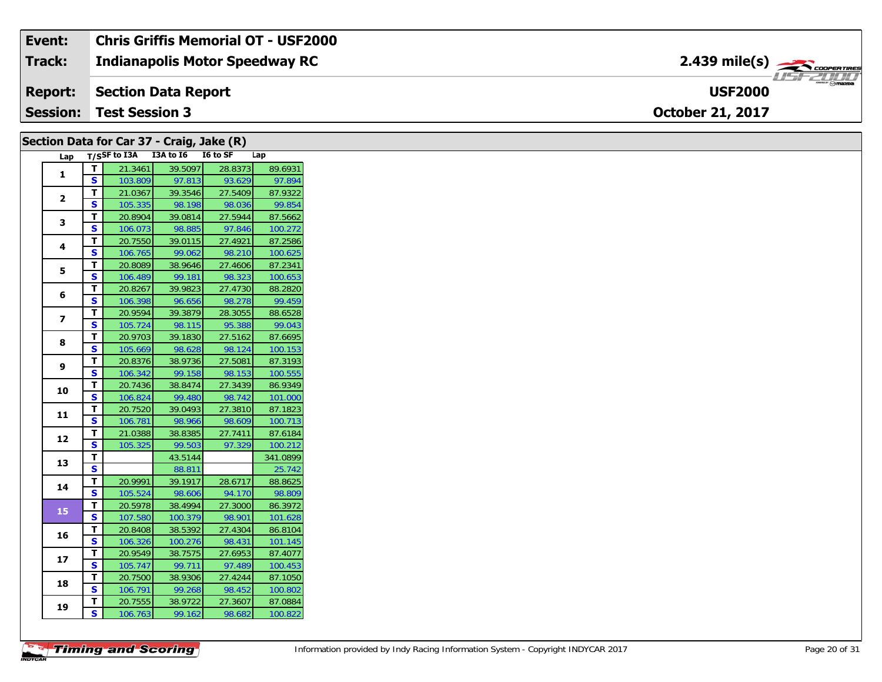| Event: | <b>Chris Griffis Memorial OT - USF2000</b> |                                                                  |  |
|--------|--------------------------------------------|------------------------------------------------------------------|--|
| Track: | Indianapolis Motor Speedway RC             | $2.439$ mile(s) $\overbrace{\hspace{2.5cm}}^{3.28}$ cooren Times |  |
|        | <b>Report:</b> Section Data Report         | <b>USF2000</b>                                                   |  |
|        | <b>Session: Test Session 3</b>             | <b>October 21, 2017</b>                                          |  |

### **Section Data for Car 37 - Craig, Jake (R)**

| Lap            |                         | $T/S$ SF to I3A | I3A to I6 | I6 to SF | Lap      |
|----------------|-------------------------|-----------------|-----------|----------|----------|
| $\mathbf{1}$   | т                       | 21.3461         | 39.5097   | 28.8373  | 89.6931  |
|                | S                       | 103.809         | 97.813    | 93.629   | 97.894   |
| $\overline{2}$ | T.                      | 21.0367         | 39.3546   | 27.5409  | 87.9322  |
|                | S                       | 105.335         | 98.198    | 98.036   | 99.854   |
| 3              | T.                      | 20.8904         | 39.0814   | 27.5944  | 87.5662  |
|                | S                       | 106.073         | 98.885    | 97.846   | 100.272  |
| 4              | т                       | 20.7550         | 39.0115   | 27.4921  | 87.2586  |
|                | S                       | 106.765         | 99.062    | 98.210   | 100.625  |
| 5              | T.                      | 20.8089         | 38.9646   | 27.4606  | 87.2341  |
|                | S                       | 106.489         | 99.181    | 98.323   | 100.653  |
| 6              | т                       | 20.8267         | 39.9823   | 27.4730  | 88.2820  |
|                | Ś                       | 106.398         | 96.656    | 98.278   | 99.459   |
| 7              | т                       | 20.9594         | 39.3879   | 28.3055  | 88.6528  |
|                | S                       | 105.724         | 98.115    | 95.388   | 99.043   |
| 8              | T.                      | 20.9703         | 39.1830   | 27.5162  | 87.6695  |
|                | S                       | 105.669         | 98.628    | 98.124   | 100.153  |
| 9              | T.                      | 20.8376         | 38.9736   | 27.5081  | 87.3193  |
|                | S                       | 106.342         | 99.158    | 98.153   | 100.555  |
| 10             | T.                      | 20.7436         | 38.8474   | 27.3439  | 86.9349  |
|                | S                       | 106.824         | 99.480    | 98.742   | 101.000  |
| 11             | т                       | 20.7520         | 39.0493   | 27.3810  | 87.1823  |
|                | S                       | 106.781         | 98.966    | 98.609   | 100.713  |
| 12             | т                       | 21.0388         | 38.8385   | 27.7411  | 87.6184  |
|                | S                       | 105.325         | 99.503    | 97.329   | 100.212  |
| 13             | т                       |                 | 43.5144   |          | 341.0899 |
|                | S                       |                 | 88.811    |          | 25.742   |
| 14             | т                       | 20.9991         | 39.1917   | 28.6717  | 88.8625  |
|                | S                       | 105.524         | 98.606    | 94.170   | 98.809   |
| 15             | T                       | 20.5978         | 38.4994   | 27.3000  | 86.3972  |
|                | S                       | 107.580         | 100.379   | 98.901   | 101.628  |
| 16             | T                       | 20.8408         | 38.5392   | 27.4304  | 86.8104  |
|                | S                       | 106.326         | 100.276   | 98.431   | 101.145  |
| 17             | т                       | 20.9549         | 38.7575   | 27.6953  | 87.4077  |
|                | S                       | 105.747         | 99.711    | 97.489   | 100.453  |
| 18             | T                       | 20.7500         | 38.9306   | 27.4244  | 87.1050  |
|                | $\overline{\mathbf{s}}$ | 106.791         | 99.268    | 98.452   | 100.802  |
| 19             | т                       | 20.7555         | 38.9722   | 27.3607  | 87.0884  |
|                | $\overline{\mathbf{s}}$ | 106.763         | 99.162    | 98.682   | 100.822  |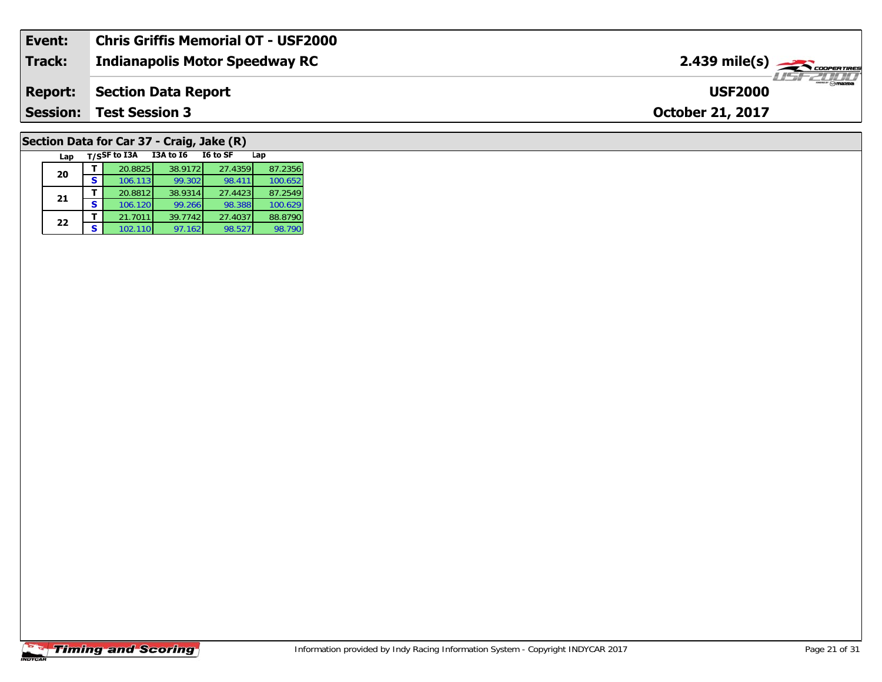| Event:          | <b>Chris Griffis Memorial OT - USF2000</b> |                                               |
|-----------------|--------------------------------------------|-----------------------------------------------|
| Track:          | Indianapolis Motor Speedway RC             | $2.439$ mile(s) $\frac{1}{2.43}$ coorer Times |
| <b>Report:</b>  | Section Data Report                        | <b>USF2000</b>                                |
| <b>Session:</b> | <b>Test Session 3</b>                      | <b>October 21, 2017</b>                       |
|                 |                                            |                                               |

# **Section Data for Car 37 - Craig, Jake (R)**

| Lap |   | T/SSF to I3A | <b>I3A to 16</b> | I6 to SF | Lap     |
|-----|---|--------------|------------------|----------|---------|
| 20  |   | 20.8825      | 38.9172          | 27.4359  | 87.2356 |
|     | S | 106.113      | 99.302           | 98.411   | 100.652 |
| 21  |   | 20.8812      | 38.9314          | 27.4423  | 87.2549 |
|     | S | 106.120      | 99.266           | 98.388   | 100.629 |
| 22  |   | 21.7011      | 39.7742          | 27.4037  | 88.8790 |
|     | s | 102.110      | 97.162           | 98.527   | 98.790  |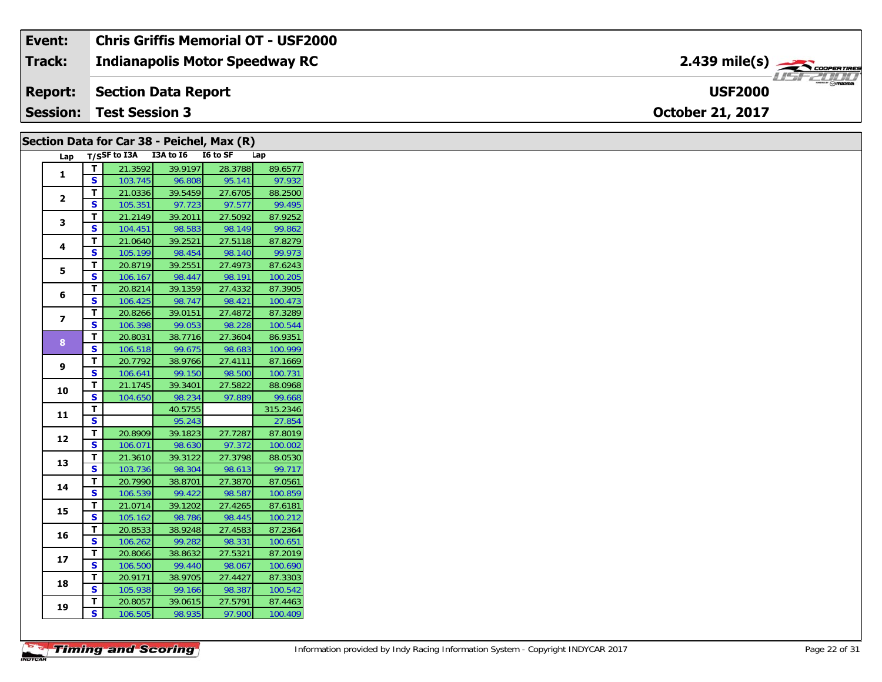| Event:         | <b>Chris Griffis Memorial OT - USF2000</b> |                                                                                                                                                                                                                                                                                                                                                                                                                                                                                                               |
|----------------|--------------------------------------------|---------------------------------------------------------------------------------------------------------------------------------------------------------------------------------------------------------------------------------------------------------------------------------------------------------------------------------------------------------------------------------------------------------------------------------------------------------------------------------------------------------------|
| <b>Track:</b>  | <b>Indianapolis Motor Speedway RC</b>      | $2.439$ mile(s) $\overbrace{\hspace{2cm}}$ COOPERTIRE                                                                                                                                                                                                                                                                                                                                                                                                                                                         |
| <b>Report:</b> | Section Data Report                        | e de Mar<br>$\overline{\phantom{a}}$ $\overline{\phantom{a}}$ $\overline{\phantom{a}}$ $\overline{\phantom{a}}$ $\overline{\phantom{a}}$ $\overline{\phantom{a}}$ $\overline{\phantom{a}}$ $\overline{\phantom{a}}$ $\overline{\phantom{a}}$ $\overline{\phantom{a}}$ $\overline{\phantom{a}}$ $\overline{\phantom{a}}$ $\overline{\phantom{a}}$ $\overline{\phantom{a}}$ $\overline{\phantom{a}}$ $\overline{\phantom{a}}$ $\overline{\phantom{a}}$ $\overline{\phantom{a}}$ $\overline{\$<br><b>USF2000</b> |
|                | <b>Session: Test Session 3</b>             | <b>October 21, 2017</b>                                                                                                                                                                                                                                                                                                                                                                                                                                                                                       |

| T/SSF to I3A I3A to I6<br>I6 to SF<br>Lap<br>Lap<br>21.3592<br>39.9197<br>T.<br>28.3788<br>1<br><b>S</b><br>95.141<br>103.745<br>96.808<br>T<br>39.5459<br>27.6705<br>21.0336<br>$\overline{2}$<br>S.<br>97.577<br>105.351<br>97.723<br>21.2149<br>39.2011<br>27.5092<br>T.<br>3<br>$\mathbf{s}$<br>104.451<br>98.583<br>98.149<br>T<br>39.2521<br>27.5118<br>21.0640<br>4<br>$\mathbf{s}$<br>105.199<br>98.454<br>98.140<br>T<br>20.8719<br>39.2551<br>27.4973<br>5<br>S<br>98.447<br>98.191<br>106.167<br>T<br>20.8214<br>39.1359<br>27.4332<br>6<br>$\mathbf{s}$<br>106.425<br>98.747<br>98.421<br>T.<br>20.8266<br>39.0151<br>27.4872<br>$\overline{\mathbf{z}}$<br>$\mathbf{s}$<br>106.398<br>99.053<br>98.228<br>T.<br>20.8031<br>38.7716<br>27.3604<br>8<br>$\mathbf{s}$<br>106.518<br>99.675<br>98.683<br>T.<br>20.7792<br>38.9766<br>27.4111<br>9<br>$\mathbf{s}$<br>99.150<br>98.500<br>106.641<br>T<br>21.1745<br>39.3401<br>27.5822<br>10<br><b>S</b><br>98.234<br>97.889<br>104.650<br>T<br>40.5755<br>11<br>S<br>95.243<br>T<br>39.1823<br>27.7287<br>20.8909<br>12<br>$\mathbf{s}$<br>97.372<br>106.071<br>98.630<br>T<br>21.3610<br>39.3122<br>27.3798<br>13<br><b>S</b><br>98.304<br>98.613<br>103.736<br>38.8701<br>27.3870<br>T<br>20.7990<br>14<br>S<br>106.539<br>99.422<br>98.587<br>39.1202<br>21.0714<br>27.4265<br>T<br>15<br><b>S</b><br>105.162<br>98.786<br>98.445<br>27.4583<br>T<br>20.8533<br>38.9248<br>16<br>S<br>98.331<br>99.282<br>106.262<br>38.8632<br>27.5321<br>T.<br>20.8066<br>17<br>S<br>99.440<br>98.067<br>106.500<br>20.9171<br>38.9705<br>27.4427<br>T<br>18<br><b>S</b><br>105.938<br>99.166<br>98.387<br>20.8057<br>39.0615<br>27.5791<br>T.<br>19<br>S<br>98.935<br>97.900<br>106.505 |  | Section Data for Car 38 - Peichel, Max (R) |  |         |
|-----------------------------------------------------------------------------------------------------------------------------------------------------------------------------------------------------------------------------------------------------------------------------------------------------------------------------------------------------------------------------------------------------------------------------------------------------------------------------------------------------------------------------------------------------------------------------------------------------------------------------------------------------------------------------------------------------------------------------------------------------------------------------------------------------------------------------------------------------------------------------------------------------------------------------------------------------------------------------------------------------------------------------------------------------------------------------------------------------------------------------------------------------------------------------------------------------------------------------------------------------------------------------------------------------------------------------------------------------------------------------------------------------------------------------------------------------------------------------------------------------------------------------------------------------------------------------------------------------------------------------------------------------------------------------------------------------------------------------------------|--|--------------------------------------------|--|---------|
| 99.862<br>99.973<br>86.9351<br>27.854<br>100.651<br>100.542                                                                                                                                                                                                                                                                                                                                                                                                                                                                                                                                                                                                                                                                                                                                                                                                                                                                                                                                                                                                                                                                                                                                                                                                                                                                                                                                                                                                                                                                                                                                                                                                                                                                             |  |                                            |  |         |
| 97.932<br>88.2500<br>99.495<br>87.9252<br>87.8279<br>87.6243<br>100.205<br>87.3905<br>100.473<br>87.3289<br>100.544<br>100.999<br>87.1669<br>100.731<br>88.0968<br>99.668<br>315.2346<br>87.8019<br>100.002<br>88.0530<br>99.717<br>87.0561<br>100.859<br>87.6181<br>100.212<br>87.2364<br>87.2019<br>100.690<br>87.3303<br>87.4463<br>100.409                                                                                                                                                                                                                                                                                                                                                                                                                                                                                                                                                                                                                                                                                                                                                                                                                                                                                                                                                                                                                                                                                                                                                                                                                                                                                                                                                                                          |  |                                            |  | 89.6577 |
|                                                                                                                                                                                                                                                                                                                                                                                                                                                                                                                                                                                                                                                                                                                                                                                                                                                                                                                                                                                                                                                                                                                                                                                                                                                                                                                                                                                                                                                                                                                                                                                                                                                                                                                                         |  |                                            |  |         |
|                                                                                                                                                                                                                                                                                                                                                                                                                                                                                                                                                                                                                                                                                                                                                                                                                                                                                                                                                                                                                                                                                                                                                                                                                                                                                                                                                                                                                                                                                                                                                                                                                                                                                                                                         |  |                                            |  |         |
|                                                                                                                                                                                                                                                                                                                                                                                                                                                                                                                                                                                                                                                                                                                                                                                                                                                                                                                                                                                                                                                                                                                                                                                                                                                                                                                                                                                                                                                                                                                                                                                                                                                                                                                                         |  |                                            |  |         |
|                                                                                                                                                                                                                                                                                                                                                                                                                                                                                                                                                                                                                                                                                                                                                                                                                                                                                                                                                                                                                                                                                                                                                                                                                                                                                                                                                                                                                                                                                                                                                                                                                                                                                                                                         |  |                                            |  |         |
|                                                                                                                                                                                                                                                                                                                                                                                                                                                                                                                                                                                                                                                                                                                                                                                                                                                                                                                                                                                                                                                                                                                                                                                                                                                                                                                                                                                                                                                                                                                                                                                                                                                                                                                                         |  |                                            |  |         |
|                                                                                                                                                                                                                                                                                                                                                                                                                                                                                                                                                                                                                                                                                                                                                                                                                                                                                                                                                                                                                                                                                                                                                                                                                                                                                                                                                                                                                                                                                                                                                                                                                                                                                                                                         |  |                                            |  |         |
|                                                                                                                                                                                                                                                                                                                                                                                                                                                                                                                                                                                                                                                                                                                                                                                                                                                                                                                                                                                                                                                                                                                                                                                                                                                                                                                                                                                                                                                                                                                                                                                                                                                                                                                                         |  |                                            |  |         |
|                                                                                                                                                                                                                                                                                                                                                                                                                                                                                                                                                                                                                                                                                                                                                                                                                                                                                                                                                                                                                                                                                                                                                                                                                                                                                                                                                                                                                                                                                                                                                                                                                                                                                                                                         |  |                                            |  |         |
|                                                                                                                                                                                                                                                                                                                                                                                                                                                                                                                                                                                                                                                                                                                                                                                                                                                                                                                                                                                                                                                                                                                                                                                                                                                                                                                                                                                                                                                                                                                                                                                                                                                                                                                                         |  |                                            |  |         |
|                                                                                                                                                                                                                                                                                                                                                                                                                                                                                                                                                                                                                                                                                                                                                                                                                                                                                                                                                                                                                                                                                                                                                                                                                                                                                                                                                                                                                                                                                                                                                                                                                                                                                                                                         |  |                                            |  |         |
|                                                                                                                                                                                                                                                                                                                                                                                                                                                                                                                                                                                                                                                                                                                                                                                                                                                                                                                                                                                                                                                                                                                                                                                                                                                                                                                                                                                                                                                                                                                                                                                                                                                                                                                                         |  |                                            |  |         |
|                                                                                                                                                                                                                                                                                                                                                                                                                                                                                                                                                                                                                                                                                                                                                                                                                                                                                                                                                                                                                                                                                                                                                                                                                                                                                                                                                                                                                                                                                                                                                                                                                                                                                                                                         |  |                                            |  |         |
|                                                                                                                                                                                                                                                                                                                                                                                                                                                                                                                                                                                                                                                                                                                                                                                                                                                                                                                                                                                                                                                                                                                                                                                                                                                                                                                                                                                                                                                                                                                                                                                                                                                                                                                                         |  |                                            |  |         |
|                                                                                                                                                                                                                                                                                                                                                                                                                                                                                                                                                                                                                                                                                                                                                                                                                                                                                                                                                                                                                                                                                                                                                                                                                                                                                                                                                                                                                                                                                                                                                                                                                                                                                                                                         |  |                                            |  |         |
|                                                                                                                                                                                                                                                                                                                                                                                                                                                                                                                                                                                                                                                                                                                                                                                                                                                                                                                                                                                                                                                                                                                                                                                                                                                                                                                                                                                                                                                                                                                                                                                                                                                                                                                                         |  |                                            |  |         |
|                                                                                                                                                                                                                                                                                                                                                                                                                                                                                                                                                                                                                                                                                                                                                                                                                                                                                                                                                                                                                                                                                                                                                                                                                                                                                                                                                                                                                                                                                                                                                                                                                                                                                                                                         |  |                                            |  |         |
|                                                                                                                                                                                                                                                                                                                                                                                                                                                                                                                                                                                                                                                                                                                                                                                                                                                                                                                                                                                                                                                                                                                                                                                                                                                                                                                                                                                                                                                                                                                                                                                                                                                                                                                                         |  |                                            |  |         |
|                                                                                                                                                                                                                                                                                                                                                                                                                                                                                                                                                                                                                                                                                                                                                                                                                                                                                                                                                                                                                                                                                                                                                                                                                                                                                                                                                                                                                                                                                                                                                                                                                                                                                                                                         |  |                                            |  |         |
|                                                                                                                                                                                                                                                                                                                                                                                                                                                                                                                                                                                                                                                                                                                                                                                                                                                                                                                                                                                                                                                                                                                                                                                                                                                                                                                                                                                                                                                                                                                                                                                                                                                                                                                                         |  |                                            |  |         |
|                                                                                                                                                                                                                                                                                                                                                                                                                                                                                                                                                                                                                                                                                                                                                                                                                                                                                                                                                                                                                                                                                                                                                                                                                                                                                                                                                                                                                                                                                                                                                                                                                                                                                                                                         |  |                                            |  |         |
|                                                                                                                                                                                                                                                                                                                                                                                                                                                                                                                                                                                                                                                                                                                                                                                                                                                                                                                                                                                                                                                                                                                                                                                                                                                                                                                                                                                                                                                                                                                                                                                                                                                                                                                                         |  |                                            |  |         |
|                                                                                                                                                                                                                                                                                                                                                                                                                                                                                                                                                                                                                                                                                                                                                                                                                                                                                                                                                                                                                                                                                                                                                                                                                                                                                                                                                                                                                                                                                                                                                                                                                                                                                                                                         |  |                                            |  |         |
|                                                                                                                                                                                                                                                                                                                                                                                                                                                                                                                                                                                                                                                                                                                                                                                                                                                                                                                                                                                                                                                                                                                                                                                                                                                                                                                                                                                                                                                                                                                                                                                                                                                                                                                                         |  |                                            |  |         |
|                                                                                                                                                                                                                                                                                                                                                                                                                                                                                                                                                                                                                                                                                                                                                                                                                                                                                                                                                                                                                                                                                                                                                                                                                                                                                                                                                                                                                                                                                                                                                                                                                                                                                                                                         |  |                                            |  |         |
|                                                                                                                                                                                                                                                                                                                                                                                                                                                                                                                                                                                                                                                                                                                                                                                                                                                                                                                                                                                                                                                                                                                                                                                                                                                                                                                                                                                                                                                                                                                                                                                                                                                                                                                                         |  |                                            |  |         |
|                                                                                                                                                                                                                                                                                                                                                                                                                                                                                                                                                                                                                                                                                                                                                                                                                                                                                                                                                                                                                                                                                                                                                                                                                                                                                                                                                                                                                                                                                                                                                                                                                                                                                                                                         |  |                                            |  |         |
|                                                                                                                                                                                                                                                                                                                                                                                                                                                                                                                                                                                                                                                                                                                                                                                                                                                                                                                                                                                                                                                                                                                                                                                                                                                                                                                                                                                                                                                                                                                                                                                                                                                                                                                                         |  |                                            |  |         |
|                                                                                                                                                                                                                                                                                                                                                                                                                                                                                                                                                                                                                                                                                                                                                                                                                                                                                                                                                                                                                                                                                                                                                                                                                                                                                                                                                                                                                                                                                                                                                                                                                                                                                                                                         |  |                                            |  |         |
|                                                                                                                                                                                                                                                                                                                                                                                                                                                                                                                                                                                                                                                                                                                                                                                                                                                                                                                                                                                                                                                                                                                                                                                                                                                                                                                                                                                                                                                                                                                                                                                                                                                                                                                                         |  |                                            |  |         |
|                                                                                                                                                                                                                                                                                                                                                                                                                                                                                                                                                                                                                                                                                                                                                                                                                                                                                                                                                                                                                                                                                                                                                                                                                                                                                                                                                                                                                                                                                                                                                                                                                                                                                                                                         |  |                                            |  |         |
|                                                                                                                                                                                                                                                                                                                                                                                                                                                                                                                                                                                                                                                                                                                                                                                                                                                                                                                                                                                                                                                                                                                                                                                                                                                                                                                                                                                                                                                                                                                                                                                                                                                                                                                                         |  |                                            |  |         |
|                                                                                                                                                                                                                                                                                                                                                                                                                                                                                                                                                                                                                                                                                                                                                                                                                                                                                                                                                                                                                                                                                                                                                                                                                                                                                                                                                                                                                                                                                                                                                                                                                                                                                                                                         |  |                                            |  |         |
|                                                                                                                                                                                                                                                                                                                                                                                                                                                                                                                                                                                                                                                                                                                                                                                                                                                                                                                                                                                                                                                                                                                                                                                                                                                                                                                                                                                                                                                                                                                                                                                                                                                                                                                                         |  |                                            |  |         |
|                                                                                                                                                                                                                                                                                                                                                                                                                                                                                                                                                                                                                                                                                                                                                                                                                                                                                                                                                                                                                                                                                                                                                                                                                                                                                                                                                                                                                                                                                                                                                                                                                                                                                                                                         |  |                                            |  |         |
|                                                                                                                                                                                                                                                                                                                                                                                                                                                                                                                                                                                                                                                                                                                                                                                                                                                                                                                                                                                                                                                                                                                                                                                                                                                                                                                                                                                                                                                                                                                                                                                                                                                                                                                                         |  |                                            |  |         |
|                                                                                                                                                                                                                                                                                                                                                                                                                                                                                                                                                                                                                                                                                                                                                                                                                                                                                                                                                                                                                                                                                                                                                                                                                                                                                                                                                                                                                                                                                                                                                                                                                                                                                                                                         |  |                                            |  |         |
|                                                                                                                                                                                                                                                                                                                                                                                                                                                                                                                                                                                                                                                                                                                                                                                                                                                                                                                                                                                                                                                                                                                                                                                                                                                                                                                                                                                                                                                                                                                                                                                                                                                                                                                                         |  |                                            |  |         |

 $\overline{\phantom{a}}$ 

 $\sim$   $\sim$ 

 $\sim$   $\sim$   $\sim$   $\sim$   $\sim$ 

 $\sqrt{2}$ 

 $\overline{\phantom{a}}$ 

 $\sim$  $\sim$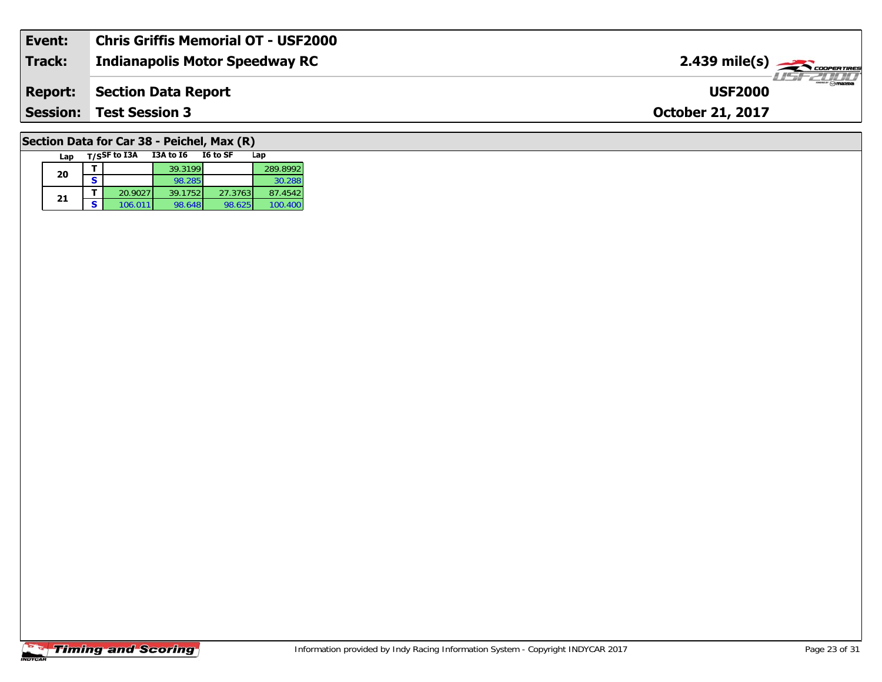| Event:          | <b>Chris Griffis Memorial OT - USF2000</b> |                                                            |
|-----------------|--------------------------------------------|------------------------------------------------------------|
| <b>Track:</b>   | Indianapolis Motor Speedway RC             | $2.439$ mile(s) $\rightarrow$                              |
| <b>Report:</b>  | Section Data Report                        | $\overline{\phantom{a}}$ $\otimes$ mazpa<br><b>USF2000</b> |
| <b>Session:</b> | <b>Test Session 3</b>                      | <b>October 21, 2017</b>                                    |
|                 |                                            |                                                            |

# **Section Data for Car 38 - Peichel, Max (R)**

| Lap |   | T/SSF to I3A | I3A to I6 | I6 to SF | Lap      |
|-----|---|--------------|-----------|----------|----------|
| 20  |   |              | 39.3199   |          | 289.8992 |
|     |   |              | 98.285    |          | 30.288   |
|     |   | 20.9027      | 39.1752   | 27.3763  | 87.4542  |
| 21  | s | 106.011      | 98.648    | 98.625   | 100.400  |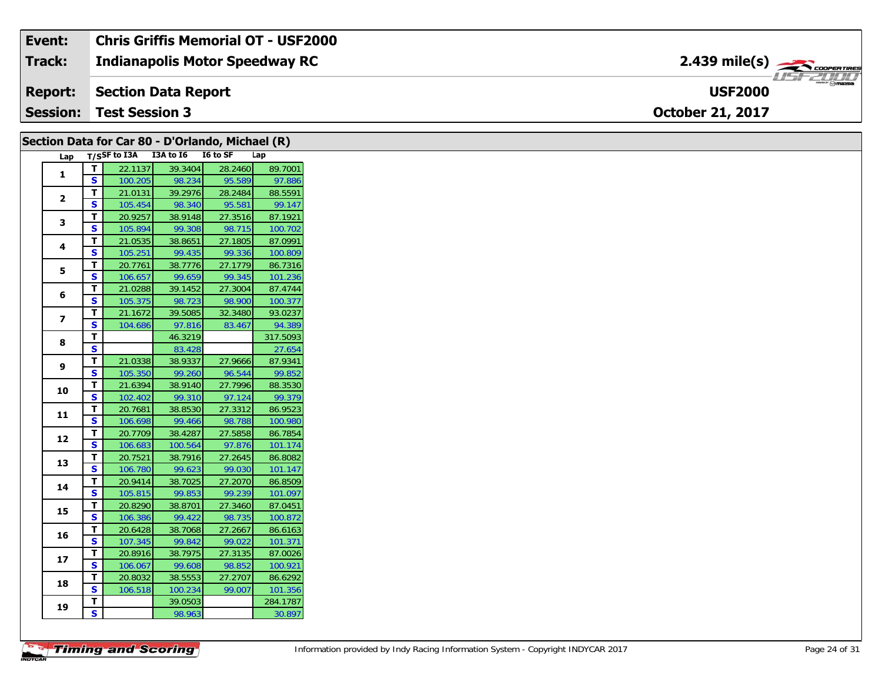| Event:          | <b>Chris Griffis Memorial OT - USF2000</b> |                                                  |
|-----------------|--------------------------------------------|--------------------------------------------------|
| <b>Track:</b>   | <b>Indianapolis Motor Speedway RC</b>      | $2.439$ mile(s) $\rightarrow$                    |
| Report:         | Section Data Report                        | $\mathbb{R}^m$ $\ominus$ mazpa<br><b>USF2000</b> |
| <b>Session:</b> | <b>Test Session 3</b>                      | <b>October 21, 2017</b>                          |

|                         |                              |         | Section Data for Car 80 - D'Orlando, Michael (R) |                   |                    |
|-------------------------|------------------------------|---------|--------------------------------------------------|-------------------|--------------------|
| Lap                     |                              |         | T/SSF to I3A I3A to I6 I6 to SF                  |                   | Lap                |
|                         | $\mathbf{T}$                 | 22.1137 | 39.3404                                          | 28.2460           | 89.7001            |
| 1                       | $\mathbf{s}$                 | 100.205 | 98.234                                           | 95.589            | 97.886             |
|                         | T                            | 21.0131 | 39.2976                                          | 28.2484           | 88.5591            |
| $\overline{\mathbf{2}}$ | $\mathbf{s}$                 | 105.454 | 98.340                                           | 95.581            | 99.147             |
| 3                       | $\mathbf{T}$                 | 20.9257 | 38.9148                                          | 27.3516           | 87.1921            |
|                         | S                            | 105.894 | 99.308                                           | 98.715            | 100.702            |
| 4                       | $\mathbf{T}$                 | 21.0535 | 38.8651                                          | 27.1805           | 87.0991            |
|                         | <b>S</b>                     | 105.251 | 99.435                                           | 99.336            | 100.809            |
| 5                       | $\mathbf{T}$                 | 20.7761 | 38.7776                                          | 27.1779           | 86.7316            |
|                         | $\mathsf{s}$                 | 106.657 | 99.659                                           | 99.345            | 101.236            |
| 6                       | $\mathbf{T}$                 | 21.0288 | 39.1452                                          | 27.3004           | 87.4744            |
|                         | $\mathbf{s}$                 | 105.375 | 98.723                                           | 98.900            | 100.377            |
| $\overline{ }$          | $\mathbf{T}$                 | 21.1672 | 39.5085                                          | 32.3480           | 93.0237            |
|                         | S                            | 104.686 | 97.816                                           | 83.467            | 94.389             |
| 8                       | $\mathbf{T}$                 |         | 46.3219                                          |                   | 317.5093           |
|                         | $\overline{\mathbf{s}}$      |         | 83.428                                           |                   | 27.654             |
| 9                       | $\mathbf{T}$                 | 21.0338 | 38.9337                                          | 27.9666           | 87.9341            |
|                         | $\mathbf{s}$                 | 105.350 | 99.260                                           | 96.544            | 99.852             |
| 10                      | $\mathbf{T}$                 | 21.6394 | 38.9140                                          | 27.7996           | 88.3530            |
|                         | $\mathsf{s}$                 | 102.402 | 99.310                                           | 97.124            | 99.379             |
| 11                      | $\mathbf{T}$                 | 20.7681 | 38.8530                                          | 27.3312           | 86.9523            |
|                         | $\mathbf{s}$                 | 106.698 | 99.466                                           | 98.788            | 100.980            |
| 12                      | $\mathbf T$                  | 20.7709 | 38.4287                                          | 27.5858           | 86.7854            |
|                         | S                            | 106.683 | 100.564                                          | 97.876            | 101.174            |
| 13                      | $\mathbf{T}$                 | 20.7521 | 38.7916                                          | 27.2645           | 86.8082            |
|                         | $\mathbf{s}$                 | 106.780 | 99.623                                           | 99.030            | 101.147            |
| 14                      | $\mathbf{T}$                 | 20.9414 | 38.7025                                          | 27.2070           | 86.8509            |
|                         | $\mathbf{s}$                 | 105.815 | 99.853                                           | 99.239            | 101.097            |
| 15                      | $\mathbf T$                  | 20.8290 | 38.8701                                          | 27.3460           | 87.0451            |
|                         | $\overline{\mathbf{s}}$      | 106.386 | 99.422                                           | 98.735            | 100.872            |
| 16                      | $\mathbf T$                  | 20.6428 | 38.7068                                          | 27.2667           | 86.6163            |
|                         | $\mathbf{s}$                 | 107.345 | 99.842                                           | 99.022            | 101.371            |
| 17                      | $\mathbf{T}$                 | 20.8916 | 38.7975                                          | 27.3135           | 87.0026            |
|                         | <b>S</b>                     | 106.067 | 99.608                                           | 98.852            | 100.921            |
| 18                      | $\mathbf{T}$<br>$\mathbf{s}$ | 20.8032 | 38.5553<br>100.234                               | 27.2707<br>99.007 | 86.6292<br>101.356 |
|                         | $\mathbf{T}$                 | 106.518 | 39.0503                                          |                   | 284.1787           |
| 19                      | $\overline{\mathbf{s}}$      |         | 98.963                                           |                   | 30.897             |
|                         |                              |         |                                                  |                   |                    |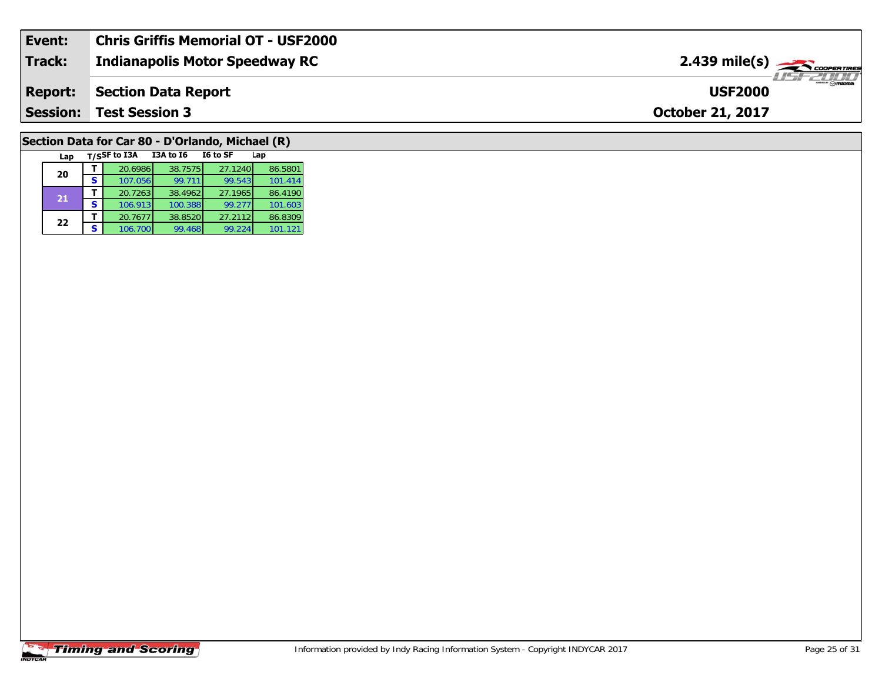| Event:          | <b>Chris Griffis Memorial OT - USF2000</b> |                                                |
|-----------------|--------------------------------------------|------------------------------------------------|
| <b>Track:</b>   | Indianapolis Motor Speedway RC             | $2.439$ mile(s) $\frac{1}{2.5600$ coorer Tires |
| <b>Report:</b>  | Section Data Report                        | <b>USF2000</b>                                 |
| <b>Session:</b> | <b>Test Session 3</b>                      | <b>October 21, 2017</b>                        |
|                 |                                            |                                                |

# **Section Data for Car 80 - D'Orlando, Michael (R)**

| Lap |   | T/SSF to I3A | <b>I3A to 16</b> | I6 to SF | Lap     |
|-----|---|--------------|------------------|----------|---------|
| 20  |   | 20.6986      | 38.7575          | 27.1240  | 86.5801 |
|     | s | 107.056      | 99.711           | 99.543   | 101.414 |
| 21  |   | 20.7263      | 38.4962          | 27.1965  | 86.4190 |
|     | S | 106.913      | 100.388          | 99.277   | 101.603 |
| 22  |   | 20.7677      | 38.8520          | 27.2112  | 86.8309 |
|     | S | 106.700      | 99.468           | 99.224   | 101.121 |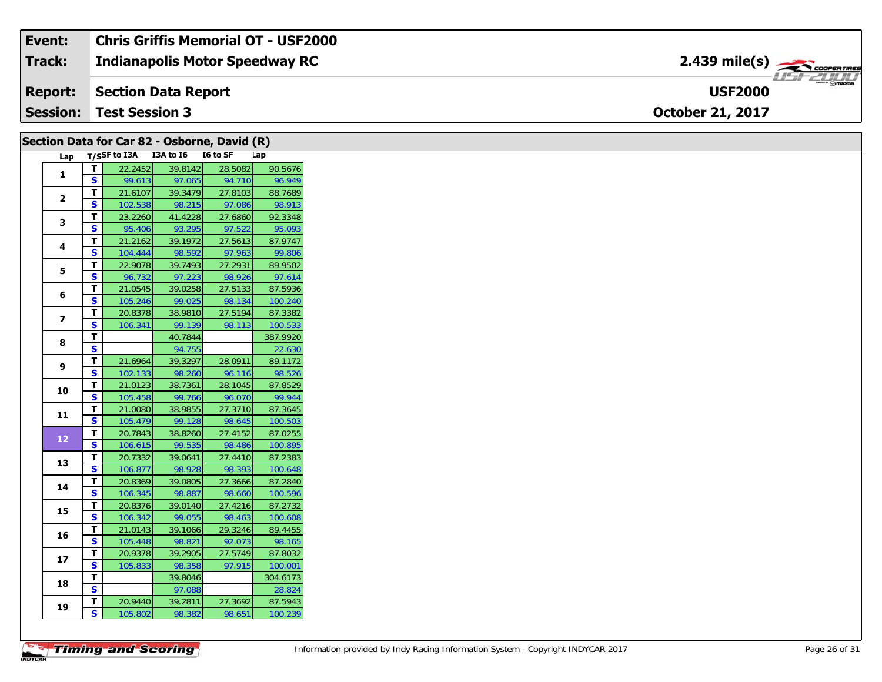#### **Event: Chris Griffis Memorial OT - USF2000** 2.439 mile(s) **2.439 miles Indianapolis Motor Speedway RC Track:** USF 2000 **USF2000Report: Section Data Report Session:October 21, 2017 Test Session 3**

| Section Data for Car 82 - Osborne, David (R) |                         |                    |                                 |                   |                    |
|----------------------------------------------|-------------------------|--------------------|---------------------------------|-------------------|--------------------|
| Lap                                          |                         |                    | T/SSF to I3A I3A to I6 I6 to SF |                   | Lap                |
| $\mathbf{1}$                                 | T                       | 22.2452            | 39.8142                         | 28.5082           | 90.5676            |
|                                              | S.                      | 99.613             | 97.065                          | 94.710            | 96.949             |
| $\overline{2}$                               | T.                      | 21.6107            | 39.3479                         | 27.8103           | 88.7689            |
|                                              | S.                      | 102.538            | 98.215                          | 97.086            | 98.913             |
| 3                                            | T.                      | 23.2260            | 41.4228                         | 27.6860           | 92.3348            |
|                                              | S.                      | 95.406             | 93.295                          | 97.522            | 95.093             |
| 4                                            | T.                      | 21.2162            | 39.1972                         | 27.5613           | 87.9747            |
|                                              | S                       | 104.444            | 98.592                          | 97.963            | 99.806             |
| 5                                            | T.                      | 22.9078            | 39.7493                         | 27.2931           | 89.9502            |
|                                              | S.                      | 96.732             | 97.223                          | 98.926            | 97.614             |
| 6                                            | T.                      | 21.0545            | 39.0258                         | 27.5133           | 87.5936            |
|                                              | <b>S</b>                | 105.246            | 99.025                          | 98.134            | 100.240            |
| $\overline{ }$                               | T.                      | 20.8378            | 38.9810                         | 27.5194           | 87.3382            |
|                                              | S                       | 106.341            | 99.139                          | 98.113            | 100.533            |
| 8                                            | T.                      |                    | 40.7844                         |                   | 387.9920           |
|                                              | S                       |                    | 94.755                          |                   | 22.630             |
| 9                                            | Τ.                      | 21.6964            | 39.3297                         | 28.0911           | 89.1172            |
|                                              | <b>S</b>                | 102.133            | 98.260                          | 96.116            | 98.526             |
| 10                                           | T.                      | 21.0123            | 38.7361                         | 28.1045           | 87.8529            |
|                                              | $\overline{\mathbf{s}}$ | 105.458            | 99.766                          | 96.070            | 99.944             |
| 11                                           | T.                      | 21.0080            | 38.9855                         | 27.3710           | 87.3645            |
|                                              | S                       | 105.479            | 99.128                          | 98.645            | 100.503            |
| 12                                           | T.                      | 20.7843            | 38.8260                         | 27.4152           | 87.0255            |
|                                              | $\mathbf{s}$            | 106.615            | 99.535                          | 98.486            | 100.895            |
| 13                                           | T.                      | 20.7332            | 39.0641                         | 27.4410           | 87.2383            |
|                                              | S                       | 106.877            | 98.928                          | 98.393            | 100.648            |
| 14                                           | T.<br>S.                | 20.8369            | 39.0805                         | 27.3666           | 87.2840            |
|                                              | T.                      | 106.345            | 98.887                          | 98.660<br>27.4216 | 100.596<br>87.2732 |
| 15                                           | S.                      | 20.8376<br>106.342 | 39.0140<br>99.055               | 98.463            | 100.608            |
|                                              |                         |                    |                                 |                   |                    |
| 16                                           | Т.<br>S                 | 21.0143            | 39.1066                         | 29.3246           | 89.4455            |
|                                              | Τ.                      | 105.448<br>20.9378 | 98.821<br>39.2905               | 92.073<br>27.5749 | 98.165<br>87.8032  |
| 17                                           | S.                      | 105.833            | 98.358                          | 97.915            | 100.001            |
|                                              | T.                      |                    | 39.8046                         |                   | 304.6173           |
| 18                                           | $\overline{\mathbf{s}}$ |                    | 97.088                          |                   | 28.824             |
|                                              | T.                      | 20.9440            | 39.2811                         | 27.3692           | 87.5943            |
| 19                                           | S.                      | 105.802            | 98.382                          | 98.651            | 100.239            |
|                                              |                         |                    |                                 |                   |                    |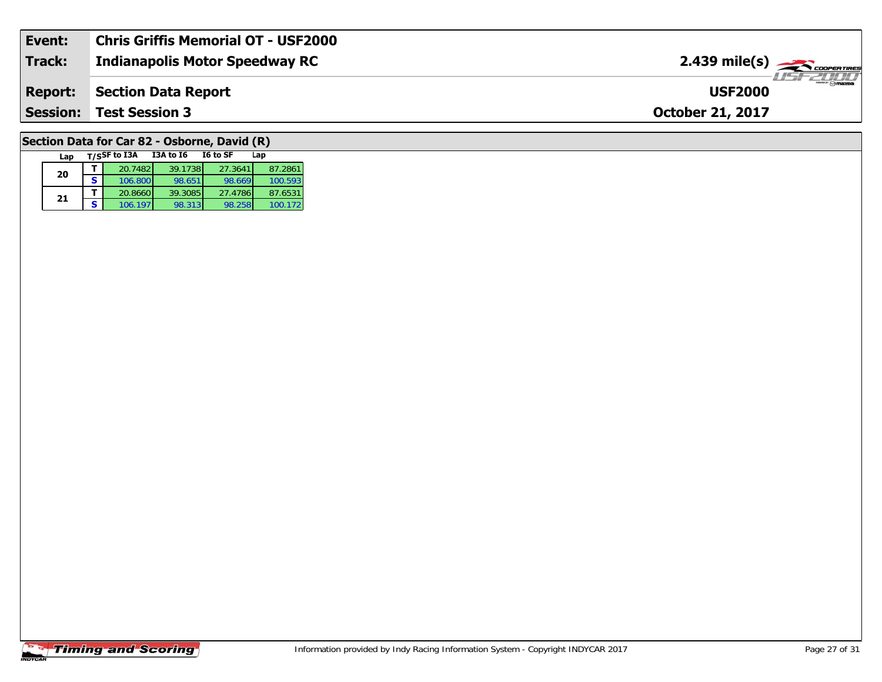| Event:          | Chris Griffis Memorial OT - USF2000   |                                                                                                                                                                                                                                                                                                                                                                                                                                                                                                   |
|-----------------|---------------------------------------|---------------------------------------------------------------------------------------------------------------------------------------------------------------------------------------------------------------------------------------------------------------------------------------------------------------------------------------------------------------------------------------------------------------------------------------------------------------------------------------------------|
| <b>Track:</b>   | <b>Indianapolis Motor Speedway RC</b> | $2.439$ mile(s) $\rightarrow$ COOPER TIRES                                                                                                                                                                                                                                                                                                                                                                                                                                                        |
| <b>Report:</b>  | Section Data Report                   | $\overline{\phantom{a}}$ $\overline{\phantom{a}}$ $\overline{\phantom{a}}$ $\overline{\phantom{a}}$ $\overline{\phantom{a}}$ $\overline{\phantom{a}}$ $\overline{\phantom{a}}$ $\overline{\phantom{a}}$ $\overline{\phantom{a}}$ $\overline{\phantom{a}}$ $\overline{\phantom{a}}$ $\overline{\phantom{a}}$ $\overline{\phantom{a}}$ $\overline{\phantom{a}}$ $\overline{\phantom{a}}$ $\overline{\phantom{a}}$ $\overline{\phantom{a}}$ $\overline{\phantom{a}}$ $\overline{\$<br><b>USF2000</b> |
| <b>Session:</b> | <b>Test Session 3</b>                 | <b>October 21, 2017</b>                                                                                                                                                                                                                                                                                                                                                                                                                                                                           |
|                 |                                       |                                                                                                                                                                                                                                                                                                                                                                                                                                                                                                   |

# **Section Data for Car 82 - Osborne, David (R)**

|  | Lap | T/SSF to I3A | <b>I3A to 16</b> | I6 to SF | Lap     |  |
|--|-----|--------------|------------------|----------|---------|--|
|  | 20  | 20.7482      | 39.1738          | 27.3641  | 87.2861 |  |
|  |     | 106.800      | 98.651           | 98.669   | 100.593 |  |
|  | 21  | 20.8660      | 39.3085          | 27.4786  | 87.6531 |  |
|  |     | 106.197      | 98.313           | 98.258   | 100.172 |  |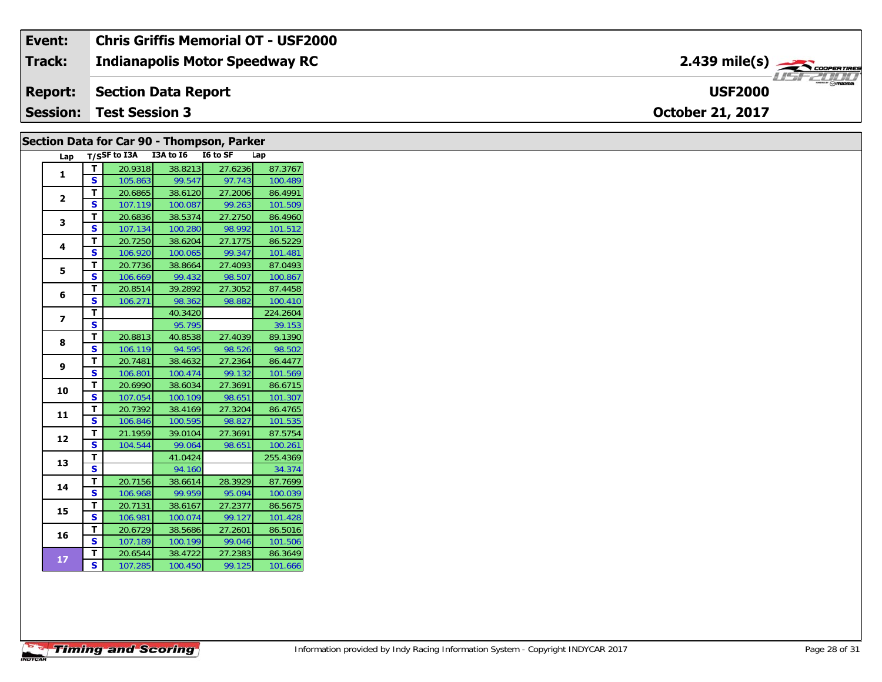| Event:          | <b>Chris Griffis Memorial OT - USF2000</b> |                                          |
|-----------------|--------------------------------------------|------------------------------------------|
| <b>Track:</b>   | <b>Indianapolis Motor Speedway RC</b>      | $2.439$ mile(s) $\rightarrow$ coorewines |
|                 | <b>Report: Section Data Report</b>         | <b>USF2000</b>                           |
| <b>Session:</b> | <b>Test Session 3</b>                      | <b>October 21, 2017</b>                  |

| Section Data for Car 90 - Thompson, Parker |                |                         |         |                                     |         |          |  |
|--------------------------------------------|----------------|-------------------------|---------|-------------------------------------|---------|----------|--|
|                                            |                |                         |         | Lap T/SSF to I3A I3A to I6 I6 to SF |         | Lap      |  |
|                                            | 1              | T.                      | 20.9318 | 38.8213                             | 27.6236 | 87.3767  |  |
|                                            |                | <b>S</b>                | 105.863 | 99.547                              | 97.743  | 100.489  |  |
|                                            | $\mathbf{2}$   | T.                      | 20.6865 | 38.6120                             | 27.2006 | 86.4991  |  |
|                                            |                | <b>S</b>                | 107.119 | 100.087                             | 99.263  | 101.509  |  |
|                                            | 3              | T.                      | 20.6836 | 38.5374                             | 27.2750 | 86.4960  |  |
|                                            |                | S                       | 107.134 | 100.280                             | 98.992  | 101.512  |  |
|                                            | 4              | T                       | 20.7250 | 38.6204                             | 27.1775 | 86.5229  |  |
|                                            |                | <b>S</b>                | 106.920 | 100.065                             | 99.347  | 101.481  |  |
|                                            | 5              | T.                      | 20.7736 | 38.8664                             | 27.4093 | 87.0493  |  |
|                                            |                | S                       | 106.669 | 99.432                              | 98.507  | 100.867  |  |
|                                            | 6              | Т                       | 20.8514 | 39.2892                             | 27.3052 | 87.4458  |  |
|                                            |                | S                       | 106.271 | 98.362                              | 98.882  | 100.410  |  |
|                                            | $\overline{ }$ | T                       |         | 40.3420                             |         | 224.2604 |  |
|                                            |                | S                       |         | 95.795                              |         | 39.153   |  |
|                                            | 8              | T                       | 20.8813 | 40.8538                             | 27.4039 | 89.1390  |  |
|                                            |                | S                       | 106.119 | 94.595                              | 98.526  | 98.502   |  |
|                                            | 9              | T                       | 20.7481 | 38.4632                             | 27.2364 | 86.4477  |  |
|                                            |                | <b>S</b>                | 106.801 | 100.474                             | 99.132  | 101.569  |  |
|                                            | 10             | T.                      | 20.6990 | 38.6034                             | 27.3691 | 86.6715  |  |
|                                            |                | S                       | 107.054 | 100.109                             | 98.651  | 101.307  |  |
|                                            | 11             | T                       | 20.7392 | 38.4169                             | 27.3204 | 86.4765  |  |
|                                            |                | <b>S</b>                | 106.846 | 100.595                             | 98.827  | 101.535  |  |
|                                            | 12             | Т                       | 21.1959 | 39.0104                             | 27.3691 | 87.5754  |  |
|                                            |                | <b>S</b>                | 104.544 | 99.064                              | 98.651  | 100.261  |  |
|                                            | 13             | T.                      |         | 41.0424                             |         | 255.4369 |  |
|                                            |                | $\overline{\mathbf{s}}$ |         | 94.160                              |         | 34.374   |  |
|                                            | 14             | T.                      | 20.7156 | 38.6614                             | 28.3929 | 87.7699  |  |
|                                            |                | <b>S</b>                | 106.968 | 99.959                              | 95.094  | 100.039  |  |
|                                            | 15             | т                       | 20.7131 | 38.6167                             | 27.2377 | 86.5675  |  |
|                                            |                | S                       | 106.981 | 100.074                             | 99.127  | 101.428  |  |
|                                            | 16             | T.                      | 20.6729 | 38.5686                             | 27.2601 | 86.5016  |  |
|                                            |                | S                       | 107.189 | 100.199                             | 99.046  | 101.506  |  |
|                                            | 17             | T.                      | 20.6544 | 38.4722                             | 27.2383 | 86.3649  |  |
|                                            |                | S                       | 107.285 | 100.450                             | 99.125  | 101.666  |  |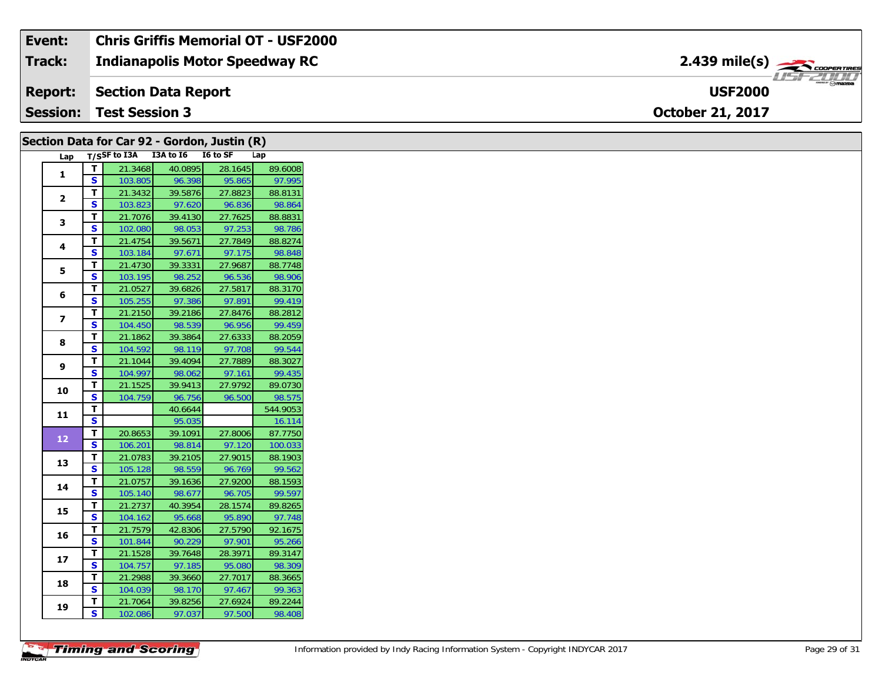#### **Event: Chris Griffis Memorial OT - USF2000** 2.439 mile(s) **2.439 miles Indianapolis Motor Speedway RC Track:** USF 2000 **USF2000Report: Section Data Report Session:October 21, 2017 Test Session 3**

|                | Section Data for Car 92 - Gordon, Justin (R) |                                     |                   |                   |                   |  |  |  |
|----------------|----------------------------------------------|-------------------------------------|-------------------|-------------------|-------------------|--|--|--|
|                |                                              | Lap T/SSF to I3A I3A to I6 I6 to SF |                   |                   | Lap               |  |  |  |
|                | T.                                           | 21.3468                             | 40.0895           | 28.1645           | 89.6008           |  |  |  |
| 1              | S.                                           | 103.805                             | 96.398            | 95.865            | 97.995            |  |  |  |
|                | T.                                           | 21.3432                             | 39.5876           | 27.8823           | 88.8131           |  |  |  |
| $\overline{2}$ | S                                            | 103.823                             | 97.620            | 96.836            | 98.864            |  |  |  |
|                | T.                                           | 21.7076                             | 39.4130           | 27.7625           | 88.8831           |  |  |  |
| 3              | S.                                           | 102.080                             | 98.053            | 97.253            | 98.786            |  |  |  |
| 4              | T.                                           | 21.4754                             | 39.5671           | 27.7849           | 88.8274           |  |  |  |
|                | S.                                           | 103.184                             | 97.671            | 97.175            | 98.848            |  |  |  |
| 5              | T.                                           | 21.4730                             | 39.3331           | 27.9687           | 88.7748           |  |  |  |
|                | S.                                           | 103.195                             | 98.252            | 96.536            | 98.906            |  |  |  |
| 6              | Τ.                                           | 21.0527                             | 39.6826           | 27.5817           | 88.3170           |  |  |  |
|                | S                                            | 105.255                             | 97.386            | 97.891            | 99.419            |  |  |  |
| $\overline{ }$ | T                                            | 21.2150                             | 39.2186           | 27.8476           | 88.2812           |  |  |  |
|                | S.                                           | 104.450                             | 98.539            | 96.956            | 99.459            |  |  |  |
| 8              | T.                                           | 21.1862                             | 39.3864           | 27.6333           | 88.2059           |  |  |  |
|                | S                                            | 104.592                             | 98.119            | 97.708            | 99.544            |  |  |  |
| 9              | T.                                           | 21.1044                             | 39.4094           | 27.7889           | 88.3027           |  |  |  |
|                | S.                                           | 104.997                             | 98.062            | 97.161            | 99.435            |  |  |  |
| 10             | T.                                           | 21.1525                             | 39.9413           | 27.9792           | 89.0730           |  |  |  |
|                | S                                            | 104.759                             | 96.756            | 96.500            | 98.575            |  |  |  |
| 11             | T.                                           |                                     | 40.6644           |                   | 544.9053          |  |  |  |
|                | S                                            |                                     | 95.035            |                   | 16.114            |  |  |  |
| 12             | T.                                           | 20.8653                             | 39.1091           | 27.8006           | 87.7750           |  |  |  |
|                | $\mathbf{s}$                                 | 106.201                             | 98.814            | 97.120            | 100.033           |  |  |  |
| 13             | T.                                           | 21.0783                             | 39.2105           | 27.9015           | 88.1903           |  |  |  |
|                | S.                                           | 105.128                             | 98.559            | 96.769            | 99.562            |  |  |  |
| 14             | T                                            | 21.0757                             | 39.1636           | 27.9200           | 88.1593           |  |  |  |
|                | S                                            | 105.140                             | 98.677            | 96.705            | 99.597            |  |  |  |
| 15             | T.                                           | 21.2737                             | 40.3954           | 28.1574           | 89.8265           |  |  |  |
|                | S.                                           | 104.162                             | 95.668            | 95.890            | 97.748            |  |  |  |
| 16             | T.<br>S.                                     | 21.7579                             | 42.8306           | 27.5790           | 92.1675           |  |  |  |
|                |                                              | 101.844                             | 90.229            | 97.901<br>28.3971 | 95.266            |  |  |  |
| 17             | T.<br><b>S</b>                               | 21.1528<br>104.757                  | 39.7648<br>97.185 | 95.080            | 89.3147<br>98.309 |  |  |  |
|                | T.                                           | 21.2988                             | 39.3660           | 27.7017           | 88.3665           |  |  |  |
| 18             | S.                                           | 104.039                             | 98.170            | 97.467            | 99.363            |  |  |  |
|                | Τ.                                           | 21.7064                             | 39.8256           | 27.6924           | 89.2244           |  |  |  |
| 19             | S.                                           | 102.086                             | 97.037            | 97.500            | 98.408            |  |  |  |
|                |                                              |                                     |                   |                   |                   |  |  |  |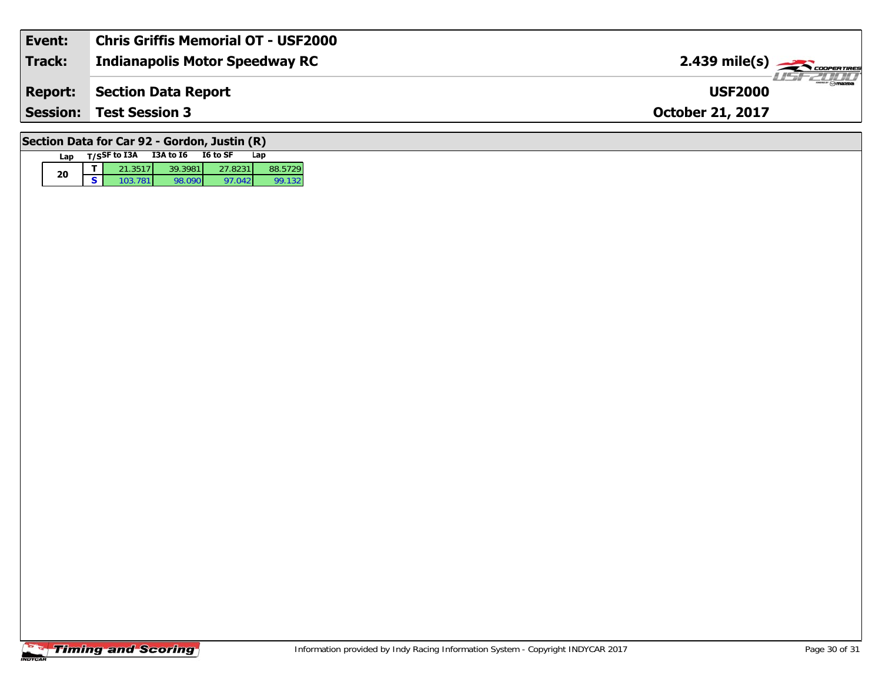| Event:                                       | <b>Chris Griffis Memorial OT - USF2000</b> |                         |  |  |  |  |
|----------------------------------------------|--------------------------------------------|-------------------------|--|--|--|--|
| <b>Track:</b>                                | <b>Indianapolis Motor Speedway RC</b>      |                         |  |  |  |  |
| <b>Report:</b>                               | <b>Section Data Report</b>                 | <b>USF2000</b>          |  |  |  |  |
|                                              | <b>Session: Test Session 3</b>             | <b>October 21, 2017</b> |  |  |  |  |
| Section Data for Car 92 - Gordon, Justin (R) |                                            |                         |  |  |  |  |

### **Timing and Scoring**

**Lap T/SSF to I3A I3A to I6 I6 to SF Lap** 

**d T** 21.3517 39.3981 27.8231 88.5729<br>**S** 103.781 98.090 97.042 99.132

99.132

**20**